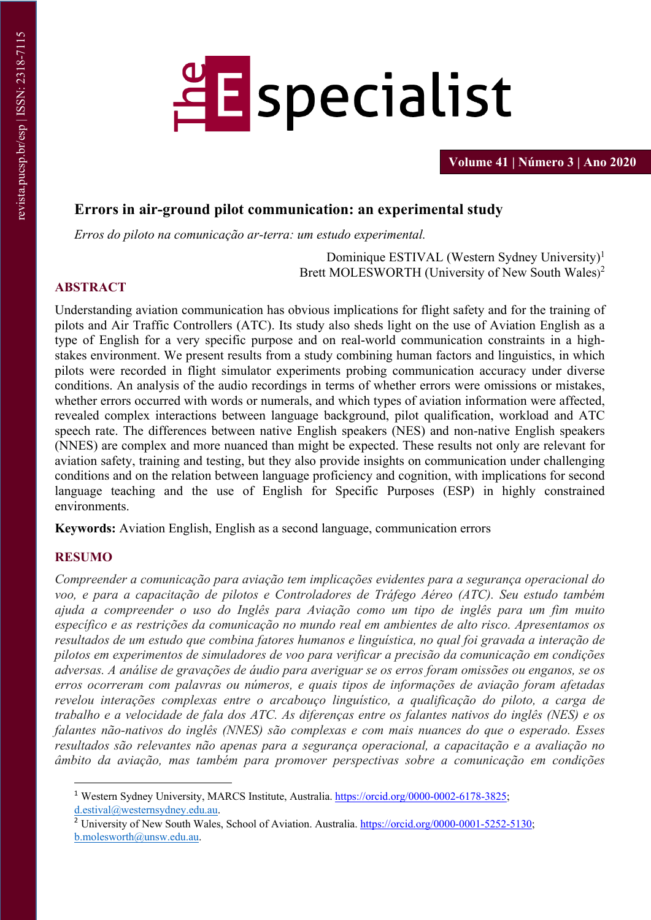

**Volume 41 | Número 3 | Ano 2020**

# **Errors in air-ground pilot communication: an experimental study**

*Erros do piloto na comunicação ar-terra: um estudo experimental.*

Dominique ESTIVAL (Western Sydney University)1 Brett MOLESWORTH (University of New South Wales) 2

# **ABSTRACT**

Understanding aviation communication has obvious implications for flight safety and for the training of pilots and Air Traffic Controllers (ATC). Its study also sheds light on the use of Aviation English as a type of English for a very specific purpose and on real-world communication constraints in a highstakes environment. We present results from a study combining human factors and linguistics, in which pilots were recorded in flight simulator experiments probing communication accuracy under diverse conditions. An analysis of the audio recordings in terms of whether errors were omissions or mistakes, whether errors occurred with words or numerals, and which types of aviation information were affected, revealed complex interactions between language background, pilot qualification, workload and ATC speech rate. The differences between native English speakers (NES) and non-native English speakers (NNES) are complex and more nuanced than might be expected. These results not only are relevant for aviation safety, training and testing, but they also provide insights on communication under challenging conditions and on the relation between language proficiency and cognition, with implications for second language teaching and the use of English for Specific Purposes (ESP) in highly constrained environments.

**Keywords:** Aviation English, English as a second language, communication errors

# **RESUMO**

*Compreender a comunicação para aviação tem implicações evidentes para a segurança operacional do voo, e para a capacitação de pilotos e Controladores de Tráfego Aéreo (ATC). Seu estudo também ajuda a compreender o uso do Inglês para Aviação como um tipo de inglês para um fim muito específico e as restrições da comunicação no mundo real em ambientes de alto risco. Apresentamos os resultados de um estudo que combina fatores humanos e linguística, no qual foi gravada a interação de pilotos em experimentos de simuladores de voo para verificar a precisão da comunicação em condições adversas. A análise de gravações de áudio para averiguar se os erros foram omissões ou enganos, se os erros ocorreram com palavras ou números, e quais tipos de informações de aviação foram afetadas revelou interações complexas entre o arcabouço linguístico, a qualificação do piloto, a carga de trabalho e a velocidade de fala dos ATC. As diferenças entre os falantes nativos do inglês (NES) e os falantes não-nativos do inglês (NNES) são complexas e com mais nuances do que o esperado. Esses resultados são relevantes não apenas para a segurança operacional, a capacitação e a avaliação no âmbito da aviação, mas também para promover perspectivas sobre a comunicação em condições* 

<sup>1</sup> Western Sydney University, MARCS Institute, Australia. https://orcid.org/0000-0002-6178-3825; d.estival@westernsydney.edu.au.

<sup>&</sup>lt;sup>2</sup> University of New South Wales, School of Aviation. Australia. https://orcid.org/0000-0001-5252-5130; b.molesworth@unsw.edu.au.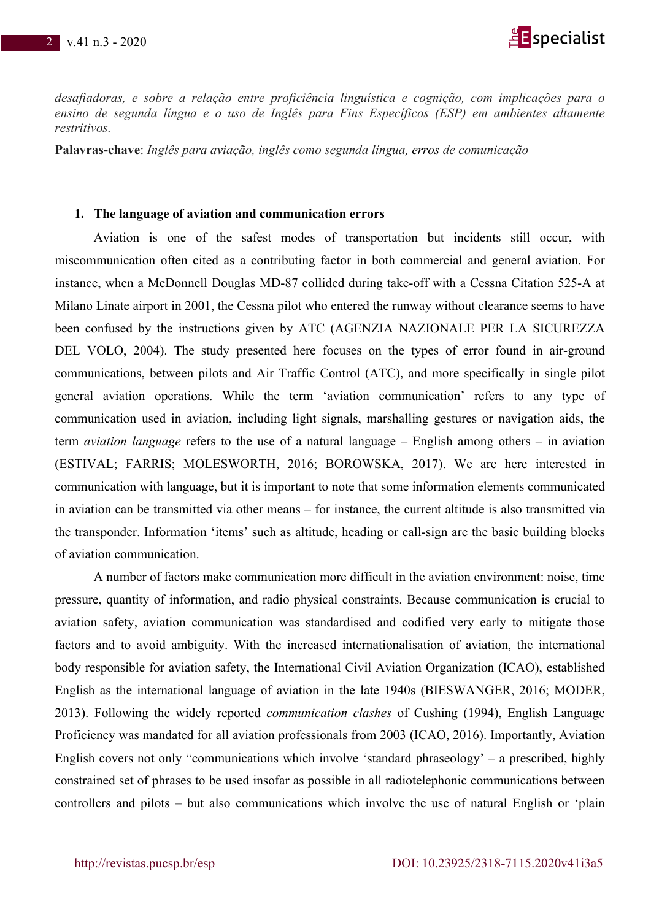

*desafiadoras, e sobre a relação entre proficiência linguística e cognição, com implicações para o ensino de segunda língua e o uso de Inglês para Fins Específicos (ESP) em ambientes altamente restritivos.*

**Palavras-chave**: *Inglês para aviação, inglês como segunda língua, erros de comunicação*

#### **1. The language of aviation and communication errors**

Aviation is one of the safest modes of transportation but incidents still occur, with miscommunication often cited as a contributing factor in both commercial and general aviation. For instance, when a McDonnell Douglas MD-87 collided during take-off with a Cessna Citation 525-A at Milano Linate airport in 2001, the Cessna pilot who entered the runway without clearance seems to have been confused by the instructions given by ATC (AGENZIA NAZIONALE PER LA SICUREZZA DEL VOLO, 2004). The study presented here focuses on the types of error found in air-ground communications, between pilots and Air Traffic Control (ATC), and more specifically in single pilot general aviation operations. While the term 'aviation communication' refers to any type of communication used in aviation, including light signals, marshalling gestures or navigation aids, the term *aviation language* refers to the use of a natural language – English among others – in aviation (ESTIVAL; FARRIS; MOLESWORTH, 2016; BOROWSKA, 2017). We are here interested in communication with language, but it is important to note that some information elements communicated in aviation can be transmitted via other means – for instance, the current altitude is also transmitted via the transponder. Information 'items' such as altitude, heading or call-sign are the basic building blocks of aviation communication.

A number of factors make communication more difficult in the aviation environment: noise, time pressure, quantity of information, and radio physical constraints. Because communication is crucial to aviation safety, aviation communication was standardised and codified very early to mitigate those factors and to avoid ambiguity. With the increased internationalisation of aviation, the international body responsible for aviation safety, the International Civil Aviation Organization (ICAO), established English as the international language of aviation in the late 1940s (BIESWANGER, 2016; MODER, 2013). Following the widely reported *communication clashes* of Cushing (1994), English Language Proficiency was mandated for all aviation professionals from 2003 (ICAO, 2016). Importantly, Aviation English covers not only "communications which involve 'standard phraseology' – a prescribed, highly constrained set of phrases to be used insofar as possible in all radiotelephonic communications between controllers and pilots – but also communications which involve the use of natural English or 'plain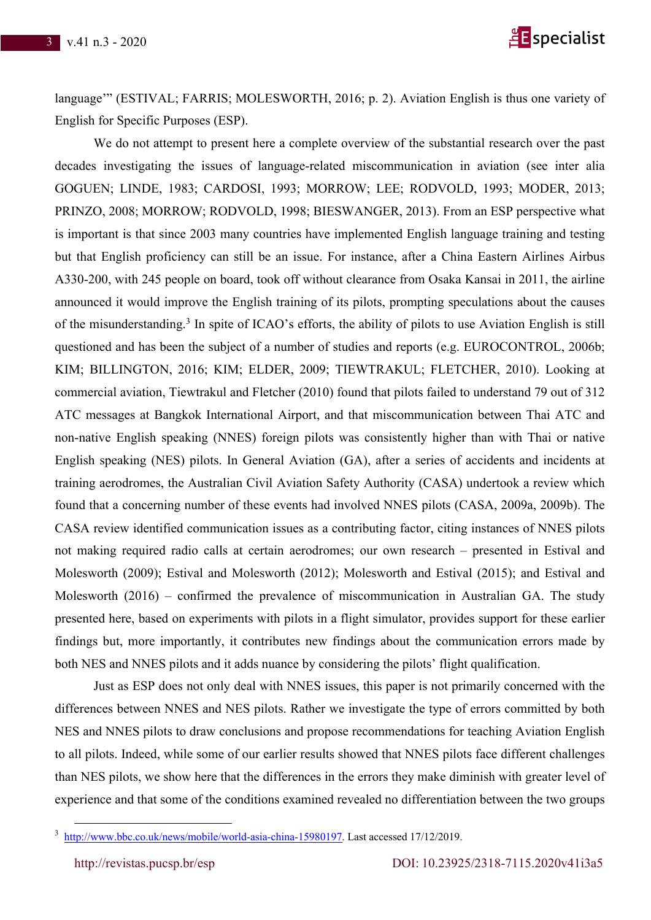

language'" (ESTIVAL; FARRIS; MOLESWORTH, 2016; p. 2). Aviation English is thus one variety of English for Specific Purposes (ESP).

We do not attempt to present here a complete overview of the substantial research over the past decades investigating the issues of language-related miscommunication in aviation (see inter alia GOGUEN; LINDE, 1983; CARDOSI, 1993; MORROW; LEE; RODVOLD, 1993; MODER, 2013; PRINZO, 2008; MORROW; RODVOLD, 1998; BIESWANGER, 2013). From an ESP perspective what is important is that since 2003 many countries have implemented English language training and testing but that English proficiency can still be an issue. For instance, after a China Eastern Airlines Airbus A330-200, with 245 people on board, took off without clearance from Osaka Kansai in 2011, the airline announced it would improve the English training of its pilots, prompting speculations about the causes of the misunderstanding.3 In spite of ICAO's efforts, the ability of pilots to use Aviation English is still questioned and has been the subject of a number of studies and reports (e.g. EUROCONTROL, 2006b; KIM; BILLINGTON, 2016; KIM; ELDER, 2009; TIEWTRAKUL; FLETCHER, 2010). Looking at commercial aviation, Tiewtrakul and Fletcher (2010) found that pilots failed to understand 79 out of 312 ATC messages at Bangkok International Airport, and that miscommunication between Thai ATC and non-native English speaking (NNES) foreign pilots was consistently higher than with Thai or native English speaking (NES) pilots. In General Aviation (GA), after a series of accidents and incidents at training aerodromes, the Australian Civil Aviation Safety Authority (CASA) undertook a review which found that a concerning number of these events had involved NNES pilots (CASA, 2009a, 2009b). The CASA review identified communication issues as a contributing factor, citing instances of NNES pilots not making required radio calls at certain aerodromes; our own research – presented in Estival and Molesworth (2009); Estival and Molesworth (2012); Molesworth and Estival (2015); and Estival and Molesworth (2016) – confirmed the prevalence of miscommunication in Australian GA. The study presented here, based on experiments with pilots in a flight simulator, provides support for these earlier findings but, more importantly, it contributes new findings about the communication errors made by both NES and NNES pilots and it adds nuance by considering the pilots' flight qualification.

Just as ESP does not only deal with NNES issues, this paper is not primarily concerned with the differences between NNES and NES pilots. Rather we investigate the type of errors committed by both NES and NNES pilots to draw conclusions and propose recommendations for teaching Aviation English to all pilots. Indeed, while some of our earlier results showed that NNES pilots face different challenges than NES pilots, we show here that the differences in the errors they make diminish with greater level of experience and that some of the conditions examined revealed no differentiation between the two groups

<sup>&</sup>lt;sup>3</sup> http://www.bbc.co.uk/news/mobile/world-asia-china-15980197. Last accessed 17/12/2019.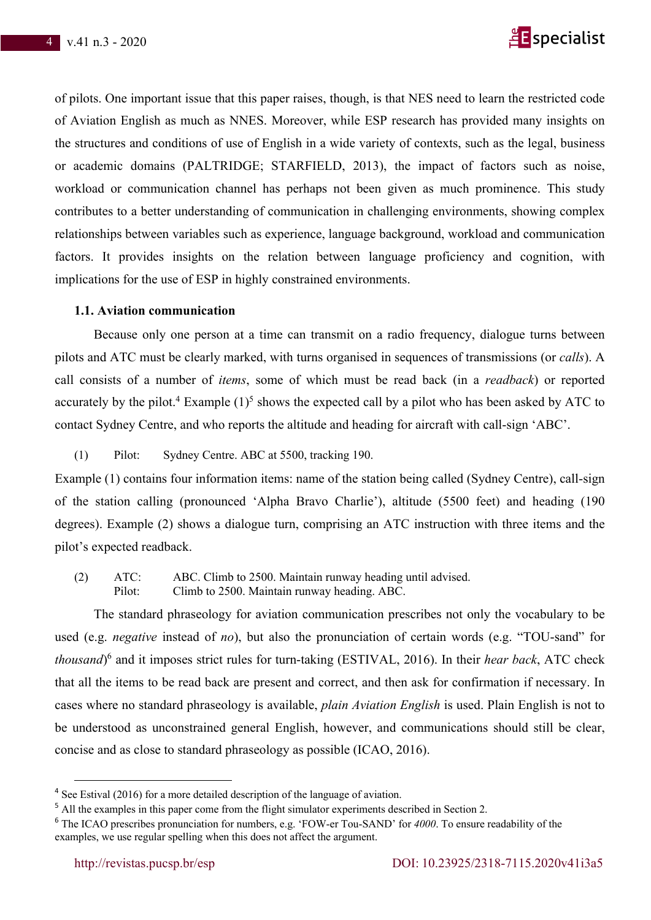

of pilots. One important issue that this paper raises, though, is that NES need to learn the restricted code of Aviation English as much as NNES. Moreover, while ESP research has provided many insights on the structures and conditions of use of English in a wide variety of contexts, such as the legal, business or academic domains (PALTRIDGE; STARFIELD, 2013), the impact of factors such as noise, workload or communication channel has perhaps not been given as much prominence. This study contributes to a better understanding of communication in challenging environments, showing complex relationships between variables such as experience, language background, workload and communication factors. It provides insights on the relation between language proficiency and cognition, with implications for the use of ESP in highly constrained environments.

#### **1.1. Aviation communication**

Because only one person at a time can transmit on a radio frequency, dialogue turns between pilots and ATC must be clearly marked, with turns organised in sequences of transmissions (or *calls*). A call consists of a number of *items*, some of which must be read back (in a *readback*) or reported accurately by the pilot.<sup>4</sup> Example  $(1)^5$  shows the expected call by a pilot who has been asked by ATC to contact Sydney Centre, and who reports the altitude and heading for aircraft with call-sign 'ABC'.

(1) Pilot: Sydney Centre. ABC at 5500, tracking 190.

Example (1) contains four information items: name of the station being called (Sydney Centre), call-sign of the station calling (pronounced 'Alpha Bravo Charlie'), altitude (5500 feet) and heading (190 degrees). Example (2) shows a dialogue turn, comprising an ATC instruction with three items and the pilot's expected readback.

(2) ATC: ABC. Climb to 2500. Maintain runway heading until advised. Pilot: Climb to 2500. Maintain runway heading. ABC.

The standard phraseology for aviation communication prescribes not only the vocabulary to be used (e.g. *negative* instead of *no*), but also the pronunciation of certain words (e.g. "TOU-sand" for *thousand*) <sup>6</sup> and it imposes strict rules for turn-taking (ESTIVAL, 2016). In their *hear back*, ATC check that all the items to be read back are present and correct, and then ask for confirmation if necessary. In cases where no standard phraseology is available, *plain Aviation English* is used. Plain English is not to be understood as unconstrained general English, however, and communications should still be clear, concise and as close to standard phraseology as possible (ICAO, 2016).

<sup>&</sup>lt;sup>4</sup> See Estival (2016) for a more detailed description of the language of aviation.

<sup>&</sup>lt;sup>5</sup> All the examples in this paper come from the flight simulator experiments described in Section 2.

<sup>6</sup> The ICAO prescribes pronunciation for numbers, e.g. 'FOW-er Tou-SAND' for *4000*. To ensure readability of the examples, we use regular spelling when this does not affect the argument.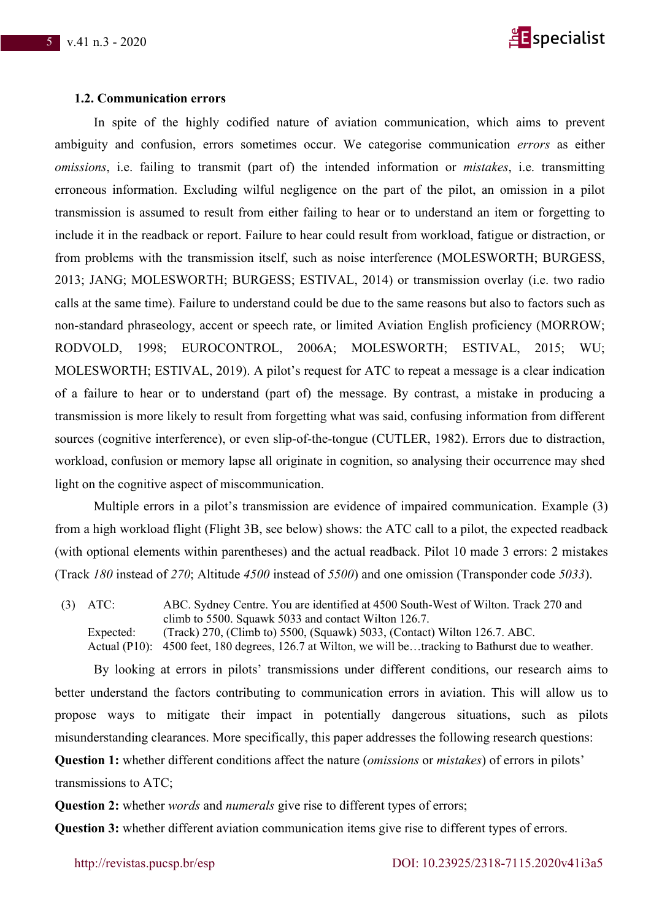

#### **1.2. Communication errors**

In spite of the highly codified nature of aviation communication, which aims to prevent ambiguity and confusion, errors sometimes occur. We categorise communication *errors* as either *omissions*, i.e. failing to transmit (part of) the intended information or *mistakes*, i.e. transmitting erroneous information. Excluding wilful negligence on the part of the pilot, an omission in a pilot transmission is assumed to result from either failing to hear or to understand an item or forgetting to include it in the readback or report. Failure to hear could result from workload, fatigue or distraction, or from problems with the transmission itself, such as noise interference (MOLESWORTH; BURGESS, 2013; JANG; MOLESWORTH; BURGESS; ESTIVAL, 2014) or transmission overlay (i.e. two radio calls at the same time). Failure to understand could be due to the same reasons but also to factors such as non-standard phraseology, accent or speech rate, or limited Aviation English proficiency (MORROW; RODVOLD, 1998; EUROCONTROL, 2006A; MOLESWORTH; ESTIVAL, 2015; WU; MOLESWORTH; ESTIVAL, 2019). A pilot's request for ATC to repeat a message is a clear indication of a failure to hear or to understand (part of) the message. By contrast, a mistake in producing a transmission is more likely to result from forgetting what was said, confusing information from different sources (cognitive interference), or even slip-of-the-tongue (CUTLER, 1982). Errors due to distraction, workload, confusion or memory lapse all originate in cognition, so analysing their occurrence may shed light on the cognitive aspect of miscommunication.

Multiple errors in a pilot's transmission are evidence of impaired communication. Example (3) from a high workload flight (Flight 3B, see below) shows: the ATC call to a pilot, the expected readback (with optional elements within parentheses) and the actual readback. Pilot 10 made 3 errors: 2 mistakes (Track *180* instead of *270*; Altitude *4500* instead of *5500*) and one omission (Transponder code *5033*).

(3) ATC: ABC. Sydney Centre. You are identified at 4500 South-West of Wilton. Track 270 and climb to 5500. Squawk 5033 and contact Wilton 126.7. Expected: (Track) 270, (Climb to) 5500, (Squawk) 5033, (Contact) Wilton 126.7. ABC. Actual (P10): 4500 feet, 180 degrees, 126.7 at Wilton, we will be…tracking to Bathurst due to weather.

By looking at errors in pilots' transmissions under different conditions, our research aims to better understand the factors contributing to communication errors in aviation. This will allow us to propose ways to mitigate their impact in potentially dangerous situations, such as pilots misunderstanding clearances. More specifically, this paper addresses the following research questions: **Question 1:** whether different conditions affect the nature (*omissions* or *mistakes*) of errors in pilots'

transmissions to ATC;

**Question 2:** whether *words* and *numerals* give rise to different types of errors;

**Question 3:** whether different aviation communication items give rise to different types of errors.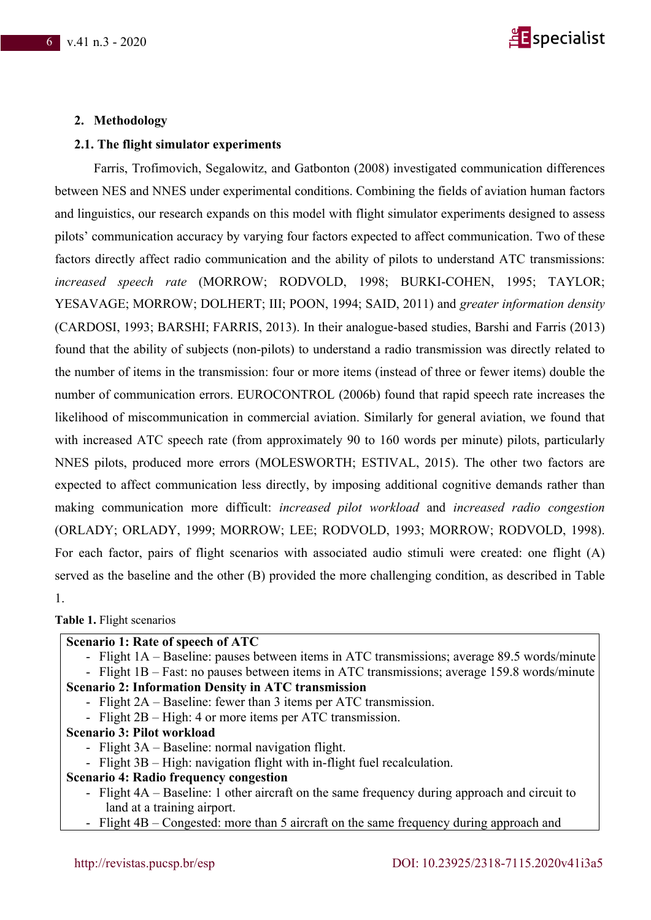

## **2. Methodology**

#### **2.1. The flight simulator experiments**

Farris, Trofimovich, Segalowitz, and Gatbonton (2008) investigated communication differences between NES and NNES under experimental conditions. Combining the fields of aviation human factors and linguistics, our research expands on this model with flight simulator experiments designed to assess pilots' communication accuracy by varying four factors expected to affect communication. Two of these factors directly affect radio communication and the ability of pilots to understand ATC transmissions: *increased speech rate* (MORROW; RODVOLD, 1998; BURKI-COHEN, 1995; TAYLOR; YESAVAGE; MORROW; DOLHERT; III; POON, 1994; SAID, 2011) and *greater information density* (CARDOSI, 1993; BARSHI; FARRIS, 2013). In their analogue-based studies, Barshi and Farris (2013) found that the ability of subjects (non-pilots) to understand a radio transmission was directly related to the number of items in the transmission: four or more items (instead of three or fewer items) double the number of communication errors. EUROCONTROL (2006b) found that rapid speech rate increases the likelihood of miscommunication in commercial aviation. Similarly for general aviation, we found that with increased ATC speech rate (from approximately 90 to 160 words per minute) pilots, particularly NNES pilots, produced more errors (MOLESWORTH; ESTIVAL, 2015). The other two factors are expected to affect communication less directly, by imposing additional cognitive demands rather than making communication more difficult: *increased pilot workload* and *increased radio congestion* (ORLADY; ORLADY, 1999; MORROW; LEE; RODVOLD, 1993; MORROW; RODVOLD, 1998). For each factor, pairs of flight scenarios with associated audio stimuli were created: one flight (A) served as the baseline and the other (B) provided the more challenging condition, as described in Table 1.

**Table 1.** Flight scenarios

#### **Scenario 1: Rate of speech of ATC**

- Flight 1A – Baseline: pauses between items in ATC transmissions; average 89.5 words/minute

- Flight 1B – Fast: no pauses between items in ATC transmissions; average 159.8 words/minute **Scenario 2: Information Density in ATC transmission**

- Flight 2A – Baseline: fewer than 3 items per ATC transmission.

- Flight 2B – High: 4 or more items per ATC transmission.

- **Scenario 3: Pilot workload**
	- Flight 3A Baseline: normal navigation flight.
	- Flight 3B High: navigation flight with in-flight fuel recalculation.

#### **Scenario 4: Radio frequency congestion**

- Flight 4A Baseline: 1 other aircraft on the same frequency during approach and circuit to land at a training airport.
- Flight 4B Congested: more than 5 aircraft on the same frequency during approach and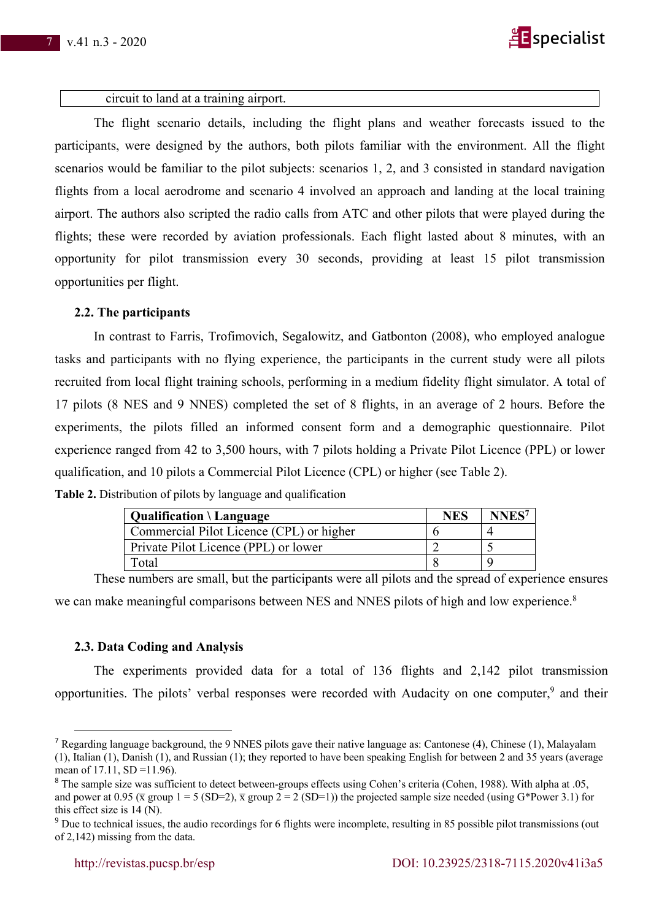

#### circuit to land at a training airport.

The flight scenario details, including the flight plans and weather forecasts issued to the participants, were designed by the authors, both pilots familiar with the environment. All the flight scenarios would be familiar to the pilot subjects: scenarios 1, 2, and 3 consisted in standard navigation flights from a local aerodrome and scenario 4 involved an approach and landing at the local training airport. The authors also scripted the radio calls from ATC and other pilots that were played during the flights; these were recorded by aviation professionals. Each flight lasted about 8 minutes, with an opportunity for pilot transmission every 30 seconds, providing at least 15 pilot transmission opportunities per flight.

#### **2.2. The participants**

In contrast to Farris, Trofimovich, Segalowitz, and Gatbonton (2008), who employed analogue tasks and participants with no flying experience, the participants in the current study were all pilots recruited from local flight training schools, performing in a medium fidelity flight simulator. A total of 17 pilots (8 NES and 9 NNES) completed the set of 8 flights, in an average of 2 hours. Before the experiments, the pilots filled an informed consent form and a demographic questionnaire. Pilot experience ranged from 42 to 3,500 hours, with 7 pilots holding a Private Pilot Licence (PPL) or lower qualification, and 10 pilots a Commercial Pilot Licence (CPL) or higher (see Table 2). **Table 2.** Distribution of pilots by language and qualification

| <b>Qualification</b> $\langle$ Language  | <b>NES</b> | <b>NNES</b> |
|------------------------------------------|------------|-------------|
| Commercial Pilot Licence (CPL) or higher |            |             |
| Private Pilot Licence (PPL) or lower     |            |             |
| Total                                    |            |             |

These numbers are small, but the participants were all pilots and the spread of experience ensures we can make meaningful comparisons between NES and NNES pilots of high and low experience.<sup>8</sup>

# **2.3. Data Coding and Analysis**

The experiments provided data for a total of 136 flights and 2,142 pilot transmission opportunities. The pilots' verbal responses were recorded with Audacity on one computer,<sup>9</sup> and their

<sup>7</sup> Regarding language background, the 9 NNES pilots gave their native language as: Cantonese (4), Chinese (1), Malayalam (1), Italian (1), Danish (1), and Russian (1); they reported to have been speaking English for between 2 and 35 years (average mean of 17.11, SD = 11.96).

<sup>8</sup> The sample size was sufficient to detect between-groups effects using Cohen's criteria (Cohen, 1988). With alpha at .05, and power at 0.95 ( $\bar{x}$  group 1 = 5 (SD=2),  $\bar{x}$  group 2 = 2 (SD=1)) the projected sample size needed (using G\*Power 3.1) for this effect size is 14 (N).

<sup>&</sup>lt;sup>9</sup> Due to technical issues, the audio recordings for 6 flights were incomplete, resulting in 85 possible pilot transmissions (out of 2,142) missing from the data.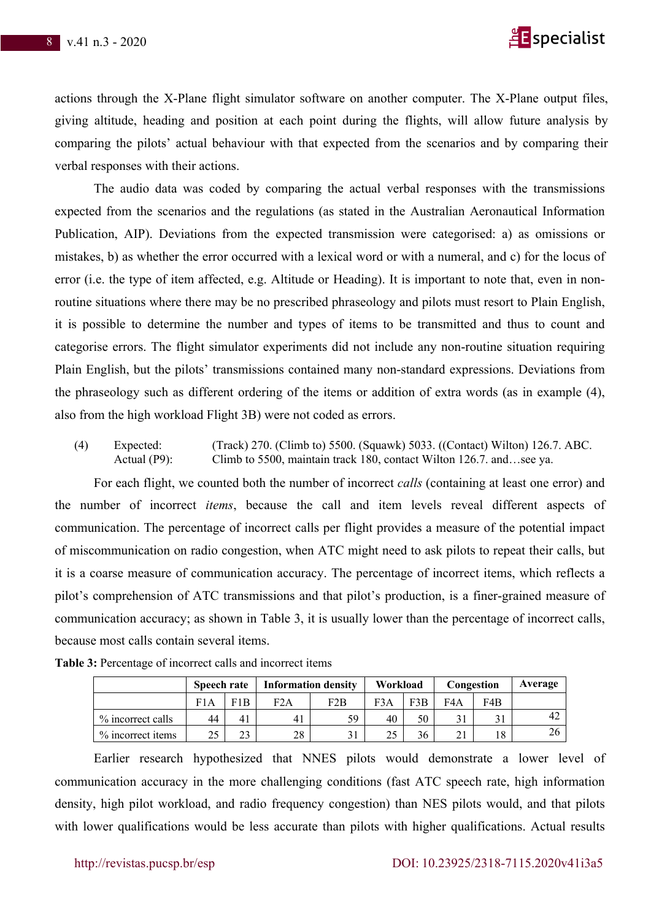

actions through the X-Plane flight simulator software on another computer. The X-Plane output files, giving altitude, heading and position at each point during the flights, will allow future analysis by comparing the pilots' actual behaviour with that expected from the scenarios and by comparing their verbal responses with their actions.

The audio data was coded by comparing the actual verbal responses with the transmissions expected from the scenarios and the regulations (as stated in the Australian Aeronautical Information Publication, AIP). Deviations from the expected transmission were categorised: a) as omissions or mistakes, b) as whether the error occurred with a lexical word or with a numeral, and c) for the locus of error (i.e. the type of item affected, e.g. Altitude or Heading). It is important to note that, even in nonroutine situations where there may be no prescribed phraseology and pilots must resort to Plain English, it is possible to determine the number and types of items to be transmitted and thus to count and categorise errors. The flight simulator experiments did not include any non-routine situation requiring Plain English, but the pilots' transmissions contained many non-standard expressions. Deviations from the phraseology such as different ordering of the items or addition of extra words (as in example (4), also from the high workload Flight 3B) were not coded as errors.

(4) Expected: (Track) 270. (Climb to) 5500. (Squawk) 5033. ((Contact) Wilton) 126.7. ABC. Actual (P9): Climb to 5500, maintain track 180, contact Wilton 126.7. and...see ya.

For each flight, we counted both the number of incorrect *calls* (containing at least one error) and the number of incorrect *items*, because the call and item levels reveal different aspects of communication. The percentage of incorrect calls per flight provides a measure of the potential impact of miscommunication on radio congestion, when ATC might need to ask pilots to repeat their calls, but it is a coarse measure of communication accuracy. The percentage of incorrect items, which reflects a pilot's comprehension of ATC transmissions and that pilot's production, is a finer-grained measure of communication accuracy; as shown in Table 3, it is usually lower than the percentage of incorrect calls, because most calls contain several items.

|                   | <b>Speech rate</b> |     | <b>Information density</b> |     | Workload |     | Congestion |     | Average |
|-------------------|--------------------|-----|----------------------------|-----|----------|-----|------------|-----|---------|
|                   | F1A                | F1B | F2A                        | F2B | F3A      | F3B | F4A        | F4B |         |
| % incorrect calls | 44                 | 41  | 41                         | 59  | 40       | 50  |            |     | 42      |
| % incorrect items | 25                 | 23  | 28                         |     | 25       | 36  | 21         | 18  |         |

|  |  |  |  | Table 3: Percentage of incorrect calls and incorrect items |
|--|--|--|--|------------------------------------------------------------|
|--|--|--|--|------------------------------------------------------------|

Earlier research hypothesized that NNES pilots would demonstrate a lower level of communication accuracy in the more challenging conditions (fast ATC speech rate, high information density, high pilot workload, and radio frequency congestion) than NES pilots would, and that pilots with lower qualifications would be less accurate than pilots with higher qualifications. Actual results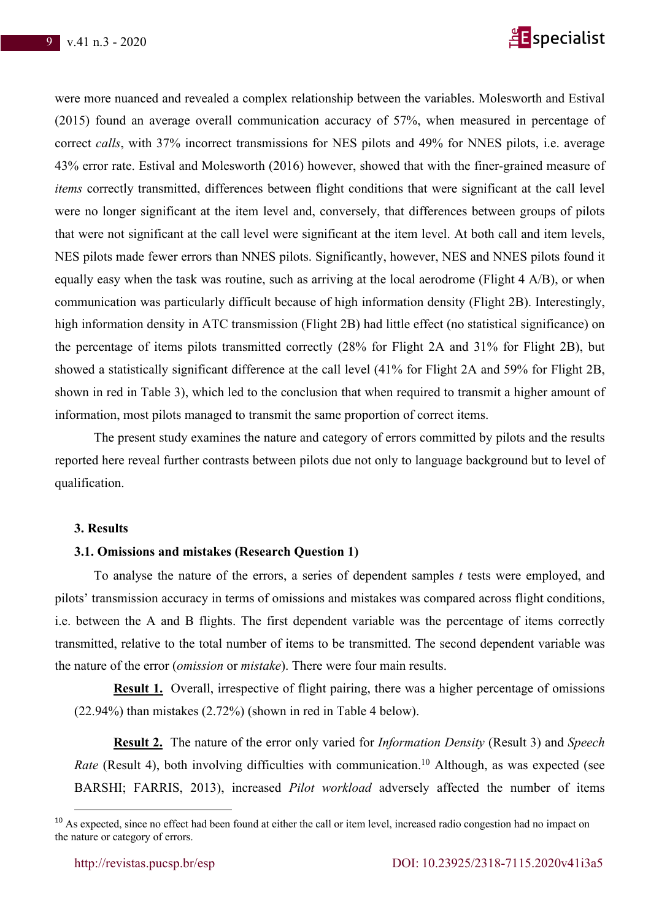

were more nuanced and revealed a complex relationship between the variables. Molesworth and Estival (2015) found an average overall communication accuracy of 57%, when measured in percentage of correct *calls*, with 37% incorrect transmissions for NES pilots and 49% for NNES pilots, i.e. average 43% error rate. Estival and Molesworth (2016) however, showed that with the finer-grained measure of *items* correctly transmitted, differences between flight conditions that were significant at the call level were no longer significant at the item level and, conversely, that differences between groups of pilots that were not significant at the call level were significant at the item level. At both call and item levels, NES pilots made fewer errors than NNES pilots. Significantly, however, NES and NNES pilots found it equally easy when the task was routine, such as arriving at the local aerodrome (Flight 4 A/B), or when communication was particularly difficult because of high information density (Flight 2B). Interestingly, high information density in ATC transmission (Flight 2B) had little effect (no statistical significance) on the percentage of items pilots transmitted correctly (28% for Flight 2A and 31% for Flight 2B), but showed a statistically significant difference at the call level (41% for Flight 2A and 59% for Flight 2B, shown in red in Table 3), which led to the conclusion that when required to transmit a higher amount of information, most pilots managed to transmit the same proportion of correct items.

The present study examines the nature and category of errors committed by pilots and the results reported here reveal further contrasts between pilots due not only to language background but to level of qualification.

#### **3. Results**

## **3.1. Omissions and mistakes (Research Question 1)**

To analyse the nature of the errors, a series of dependent samples *t* tests were employed, and pilots' transmission accuracy in terms of omissions and mistakes was compared across flight conditions, i.e. between the A and B flights. The first dependent variable was the percentage of items correctly transmitted, relative to the total number of items to be transmitted. The second dependent variable was the nature of the error (*omission* or *mistake*). There were four main results.

**Result 1.** Overall, irrespective of flight pairing, there was a higher percentage of omissions (22.94%) than mistakes (2.72%) (shown in red in Table 4 below).

**Result 2.** The nature of the error only varied for *Information Density* (Result 3) and *Speech Rate* (Result 4), both involving difficulties with communication.<sup>10</sup> Although, as was expected (see BARSHI; FARRIS, 2013), increased *Pilot workload* adversely affected the number of items

<sup>&</sup>lt;sup>10</sup> As expected, since no effect had been found at either the call or item level, increased radio congestion had no impact on the nature or category of errors.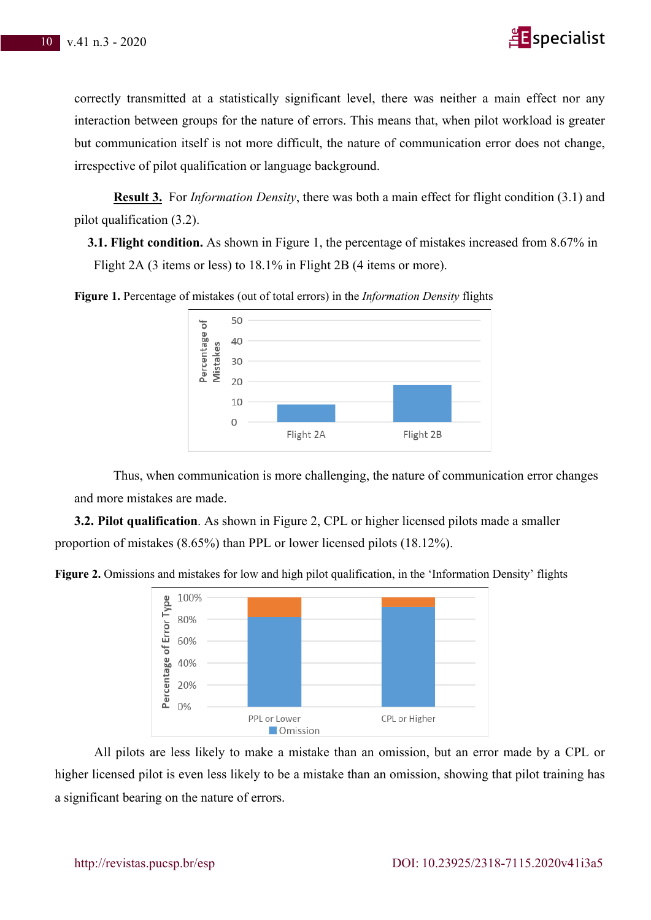

correctly transmitted at a statistically significant level, there was neither a main effect nor any interaction between groups for the nature of errors. This means that, when pilot workload is greater but communication itself is not more difficult, the nature of communication error does not change, irrespective of pilot qualification or language background.

**Result 3.** For *Information Density*, there was both a main effect for flight condition (3.1) and pilot qualification (3.2).

**3.1. Flight condition.** As shown in Figure 1, the percentage of mistakes increased from 8.67% in Flight 2A (3 items or less) to 18.1% in Flight 2B (4 items or more).





Thus, when communication is more challenging, the nature of communication error changes and more mistakes are made.

**3.2. Pilot qualification**. As shown in Figure 2, CPL or higher licensed pilots made a smaller proportion of mistakes (8.65%) than PPL or lower licensed pilots (18.12%).





All pilots are less likely to make a mistake than an omission, but an error made by a CPL or higher licensed pilot is even less likely to be a mistake than an omission, showing that pilot training has a significant bearing on the nature of errors.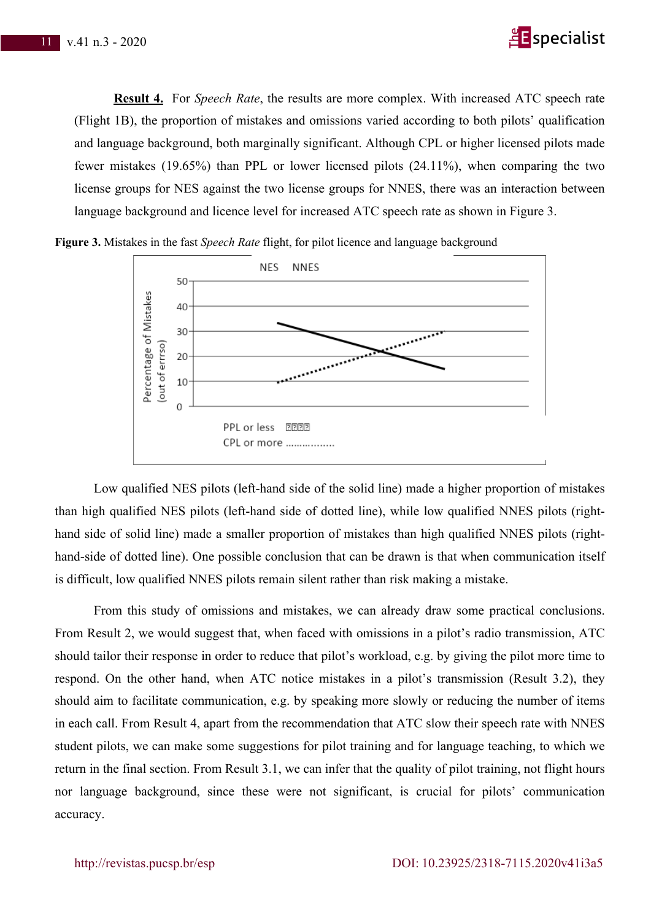

**Result 4.** For *Speech Rate*, the results are more complex. With increased ATC speech rate (Flight 1B), the proportion of mistakes and omissions varied according to both pilots' qualification and language background, both marginally significant. Although CPL or higher licensed pilots made fewer mistakes (19.65%) than PPL or lower licensed pilots (24.11%), when comparing the two license groups for NES against the two license groups for NNES, there was an interaction between language background and licence level for increased ATC speech rate as shown in Figure 3.



**Figure 3.** Mistakes in the fast *Speech Rate* flight, for pilot licence and language background

Low qualified NES pilots (left-hand side of the solid line) made a higher proportion of mistakes than high qualified NES pilots (left-hand side of dotted line), while low qualified NNES pilots (righthand side of solid line) made a smaller proportion of mistakes than high qualified NNES pilots (righthand-side of dotted line). One possible conclusion that can be drawn is that when communication itself is difficult, low qualified NNES pilots remain silent rather than risk making a mistake.

From this study of omissions and mistakes, we can already draw some practical conclusions. From Result 2, we would suggest that, when faced with omissions in a pilot's radio transmission, ATC should tailor their response in order to reduce that pilot's workload, e.g. by giving the pilot more time to respond. On the other hand, when ATC notice mistakes in a pilot's transmission (Result 3.2), they should aim to facilitate communication, e.g. by speaking more slowly or reducing the number of items in each call. From Result 4, apart from the recommendation that ATC slow their speech rate with NNES student pilots, we can make some suggestions for pilot training and for language teaching, to which we return in the final section. From Result 3.1, we can infer that the quality of pilot training, not flight hours nor language background, since these were not significant, is crucial for pilots' communication accuracy.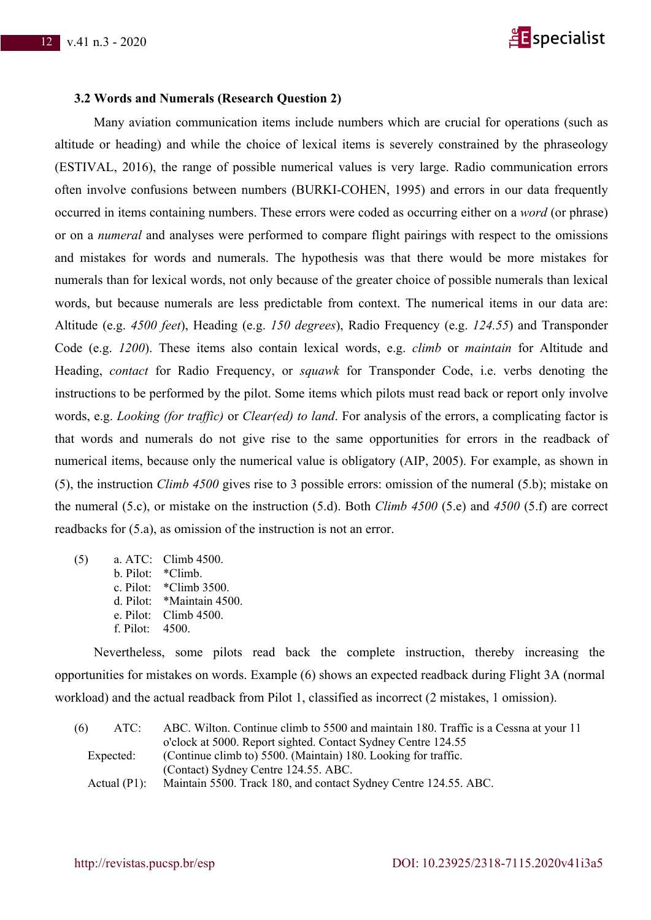

#### **3.2 Words and Numerals (Research Question 2)**

Many aviation communication items include numbers which are crucial for operations (such as altitude or heading) and while the choice of lexical items is severely constrained by the phraseology (ESTIVAL, 2016), the range of possible numerical values is very large. Radio communication errors often involve confusions between numbers (BURKI-COHEN, 1995) and errors in our data frequently occurred in items containing numbers. These errors were coded as occurring either on a *word* (or phrase) or on a *numeral* and analyses were performed to compare flight pairings with respect to the omissions and mistakes for words and numerals. The hypothesis was that there would be more mistakes for numerals than for lexical words, not only because of the greater choice of possible numerals than lexical words, but because numerals are less predictable from context. The numerical items in our data are: Altitude (e.g. *4500 feet*), Heading (e.g. *150 degrees*), Radio Frequency (e.g. *124.55*) and Transponder Code (e.g. *1200*). These items also contain lexical words, e.g. *climb* or *maintain* for Altitude and Heading, *contact* for Radio Frequency, or *squawk* for Transponder Code, i.e. verbs denoting the instructions to be performed by the pilot. Some items which pilots must read back or report only involve words, e.g. *Looking (for traffic)* or *Clear(ed) to land*. For analysis of the errors, a complicating factor is that words and numerals do not give rise to the same opportunities for errors in the readback of numerical items, because only the numerical value is obligatory (AIP, 2005). For example, as shown in (5), the instruction *Climb 4500* gives rise to 3 possible errors: omission of the numeral (5.b); mistake on the numeral (5.c), or mistake on the instruction (5.d). Both *Climb 4500* (5.e) and *4500* (5.f) are correct readbacks for (5.a), as omission of the instruction is not an error.

| (5) |                 | a. ATC: Climb 4500.             |
|-----|-----------------|---------------------------------|
|     |                 | $b.$ Pilot: $*$ Climb.          |
|     |                 | c. Pilot: $\text{*Climb}$ 3500. |
|     |                 | d. Pilot: *Maintain 4500.       |
|     |                 | e. Pilot: Climb $4500$ .        |
|     | f. Pilot: 4500. |                                 |

Nevertheless, some pilots read back the complete instruction, thereby increasing the opportunities for mistakes on words. Example (6) shows an expected readback during Flight 3A (normal workload) and the actual readback from Pilot 1, classified as incorrect (2 mistakes, 1 omission).

| ABC. Wilton. Continue climb to 5500 and maintain 180. Traffic is a Cessna at your 11<br>ATC: |
|----------------------------------------------------------------------------------------------|
| o'clock at 5000. Report sighted. Contact Sydney Centre 124.55                                |
| (Continue climb to) 5500. (Maintain) 180. Looking for traffic.<br>Expected:                  |
| (Contact) Sydney Centre 124.55. ABC.                                                         |
| Maintain 5500. Track 180, and contact Sydney Centre 124.55. ABC.<br>Actual $(P1)$ :          |
|                                                                                              |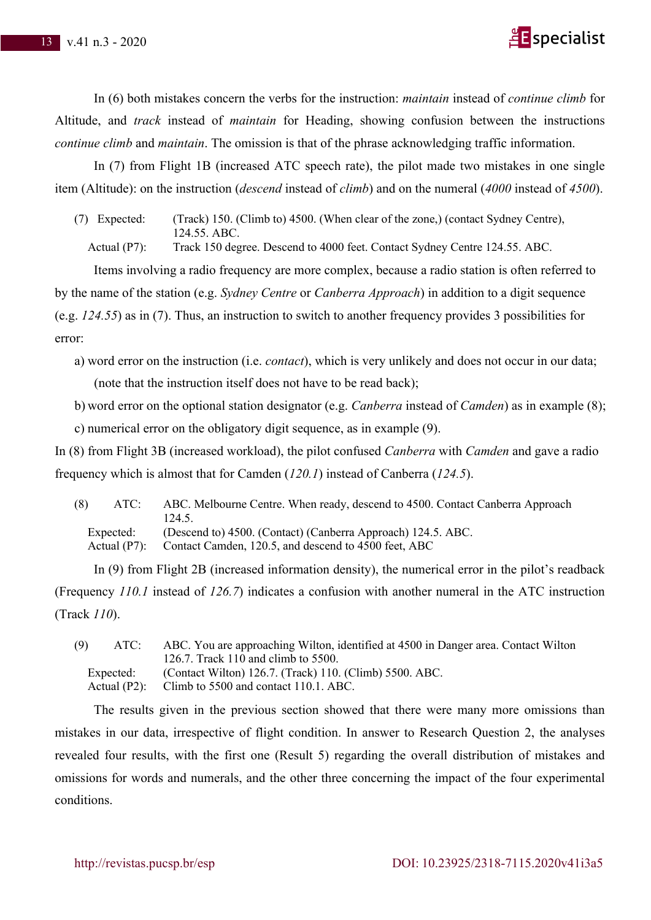

In (6) both mistakes concern the verbs for the instruction: *maintain* instead of *continue climb* for Altitude, and *track* instead of *maintain* for Heading, showing confusion between the instructions *continue climb* and *maintain*. The omission is that of the phrase acknowledging traffic information.

In (7) from Flight 1B (increased ATC speech rate), the pilot made two mistakes in one single item (Altitude): on the instruction (*descend* instead of *climb*) and on the numeral (*4000* instead of *4500*).

(7) Expected: (Track) 150. (Climb to) 4500. (When clear of the zone,) (contact Sydney Centre), 124.55. ABC.

Actual (P7): Track 150 degree. Descend to 4000 feet. Contact Sydney Centre 124.55. ABC.

Items involving a radio frequency are more complex, because a radio station is often referred to by the name of the station (e.g. *Sydney Centre* or *Canberra Approach*) in addition to a digit sequence (e.g. *124.55*) as in (7). Thus, an instruction to switch to another frequency provides 3 possibilities for error:

- a) word error on the instruction (i.e. *contact*), which is very unlikely and does not occur in our data; (note that the instruction itself does not have to be read back);
- b) word error on the optional station designator (e.g. *Canberra* instead of *Camden*) as in example (8);

c) numerical error on the obligatory digit sequence, as in example (9).

In (8) from Flight 3B (increased workload), the pilot confused *Canberra* with *Camden* and gave a radio frequency which is almost that for Camden (*120.1*) instead of Canberra (*124.5*).

| (8)<br>ATC: | ABC. Melbourne Centre. When ready, descend to 4500. Contact Canberra Approach |
|-------------|-------------------------------------------------------------------------------|
|             | 124.5.                                                                        |
| Expected:   | (Descend to) 4500. (Contact) (Canberra Approach) 124.5. ABC.                  |
|             | Actual (P7): Contact Camden, 120.5, and descend to 4500 feet, ABC             |

In (9) from Flight 2B (increased information density), the numerical error in the pilot's readback (Frequency *110.1* instead of *126.7*) indicates a confusion with another numeral in the ATC instruction (Track *110*).

| (9)       | ABC. You are approaching Wilton, identified at 4500 in Danger area. Contact Wilton                            |
|-----------|---------------------------------------------------------------------------------------------------------------|
| ATC:      | 126.7. Track 110 and climb to 5500.                                                                           |
| Expected: | (Contact Wilton) 126.7. (Track) 110. (Climb) 5500. ABC.<br>Actual (P2): Climb to 5500 and contact 110.1. ABC. |

The results given in the previous section showed that there were many more omissions than mistakes in our data, irrespective of flight condition. In answer to Research Question 2, the analyses revealed four results, with the first one (Result 5) regarding the overall distribution of mistakes and omissions for words and numerals, and the other three concerning the impact of the four experimental conditions.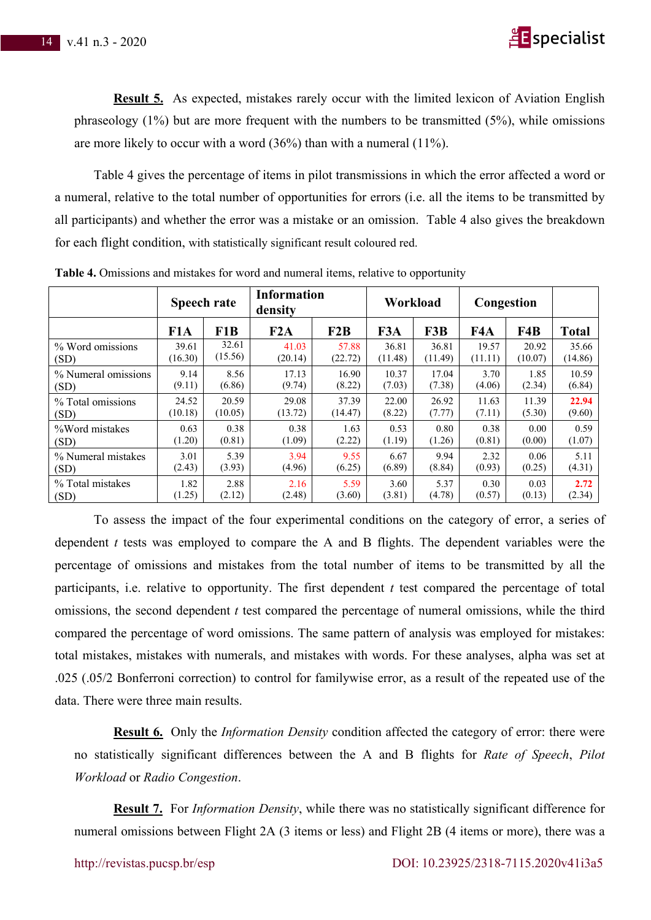

**Result 5.** As expected, mistakes rarely occur with the limited lexicon of Aviation English phraseology (1%) but are more frequent with the numbers to be transmitted (5%), while omissions are more likely to occur with a word (36%) than with a numeral (11%).

Table 4 gives the percentage of items in pilot transmissions in which the error affected a word or a numeral, relative to the total number of opportunities for errors (i.e. all the items to be transmitted by all participants) and whether the error was a mistake or an omission. Table 4 also gives the breakdown for each flight condition, with statistically significant result coloured red.

|                     | <b>Speech rate</b> |         | <b>Information</b><br>density |         | Workload |         | Congestion |         |              |
|---------------------|--------------------|---------|-------------------------------|---------|----------|---------|------------|---------|--------------|
|                     | F <sub>1</sub> A   | F1B     | F2A                           | F2B     | F3A      | F3B     | F4A        | F4B     | <b>Total</b> |
| % Word omissions    | 39.61              | 32.61   | 41.03                         | 57.88   | 36.81    | 36.81   | 19.57      | 20.92   | 35.66        |
| (SD)                | (16.30)            | (15.56) | (20.14)                       | (22.72) | (11.48)  | (11.49) | (11.11)    | (10.07) | (14.86)      |
| % Numeral omissions | 9.14               | 8.56    | 17.13                         | 16.90   | 10.37    | 17.04   | 3.70       | 1.85    | 10.59        |
| (SD)                | (9.11)             | (6.86)  | (9.74)                        | (8.22)  | (7.03)   | (7.38)  | (4.06)     | (2.34)  | (6.84)       |
| % Total omissions   | 24.52              | 20.59   | 29.08                         | 37.39   | 22.00    | 26.92   | 11.63      | 11.39   | 22.94        |
| (SD)                | (10.18)            | (10.05) | (13.72)                       | (14.47) | (8.22)   | (7.77)  | (7.11)     | (5.30)  | (9.60)       |
| %Word mistakes      | 0.63               | 0.38    | 0.38                          | 1.63    | 0.53     | 0.80    | 0.38       | 0.00    | 0.59         |
| (SD)                | (1.20)             | (0.81)  | (1.09)                        | (2.22)  | (1.19)   | (1.26)  | (0.81)     | (0.00)  | (1.07)       |
| % Numeral mistakes  | 3.01               | 5.39    | 3.94                          | 9.55    | 6.67     | 9.94    | 2.32       | 0.06    | 5.11         |
| (SD)                | (2.43)             | (3.93)  | (4.96)                        | (6.25)  | (6.89)   | (8.84)  | (0.93)     | (0.25)  | (4.31)       |
| % Total mistakes    | 1.82               | 2.88    | 2.16                          | 5.59    | 3.60     | 5.37    | 0.30       | 0.03    | 2.72         |
| (SD)                | (1.25)             | (2.12)  | (2.48)                        | (3.60)  | (3.81)   | (4.78)  | (0.57)     | (0.13)  | (2.34)       |

**Table 4.** Omissions and mistakes for word and numeral items, relative to opportunity

To assess the impact of the four experimental conditions on the category of error, a series of dependent *t* tests was employed to compare the A and B flights. The dependent variables were the percentage of omissions and mistakes from the total number of items to be transmitted by all the participants, i.e. relative to opportunity. The first dependent *t* test compared the percentage of total omissions, the second dependent *t* test compared the percentage of numeral omissions, while the third compared the percentage of word omissions. The same pattern of analysis was employed for mistakes: total mistakes, mistakes with numerals, and mistakes with words. For these analyses, alpha was set at .025 (.05/2 Bonferroni correction) to control for familywise error, as a result of the repeated use of the data. There were three main results.

**Result 6.** Only the *Information Density* condition affected the category of error: there were no statistically significant differences between the A and B flights for *Rate of Speech*, *Pilot Workload* or *Radio Congestion*.

**Result 7.** For *Information Density*, while there was no statistically significant difference for numeral omissions between Flight 2A (3 items or less) and Flight 2B (4 items or more), there was a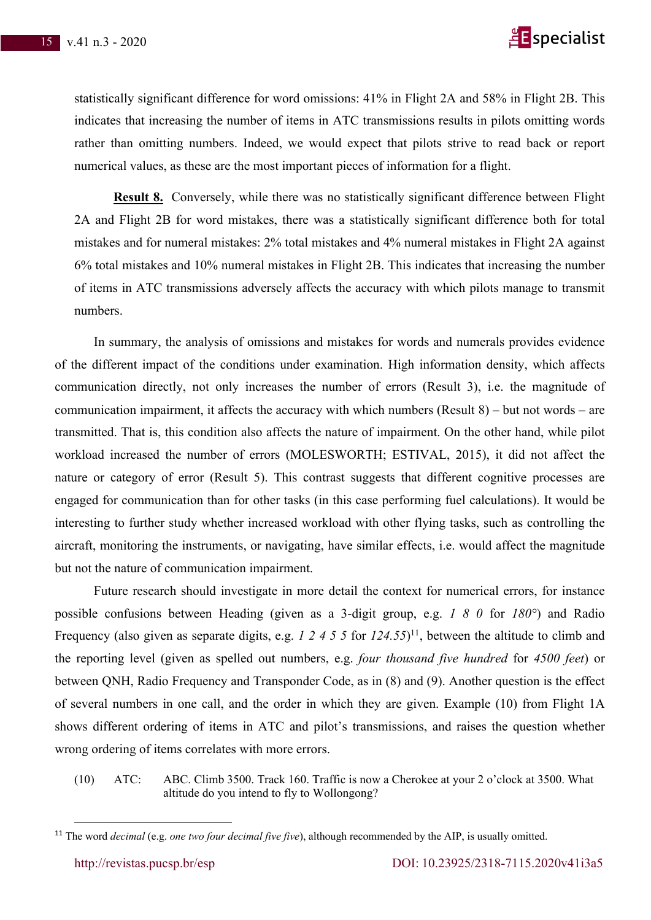

statistically significant difference for word omissions: 41% in Flight 2A and 58% in Flight 2B. This indicates that increasing the number of items in ATC transmissions results in pilots omitting words rather than omitting numbers. Indeed, we would expect that pilots strive to read back or report numerical values, as these are the most important pieces of information for a flight.

**Result 8.** Conversely, while there was no statistically significant difference between Flight 2A and Flight 2B for word mistakes, there was a statistically significant difference both for total mistakes and for numeral mistakes: 2% total mistakes and 4% numeral mistakes in Flight 2A against 6% total mistakes and 10% numeral mistakes in Flight 2B. This indicates that increasing the number of items in ATC transmissions adversely affects the accuracy with which pilots manage to transmit numbers.

In summary, the analysis of omissions and mistakes for words and numerals provides evidence of the different impact of the conditions under examination. High information density, which affects communication directly, not only increases the number of errors (Result 3), i.e. the magnitude of communication impairment, it affects the accuracy with which numbers (Result 8) – but not words – are transmitted. That is, this condition also affects the nature of impairment. On the other hand, while pilot workload increased the number of errors (MOLESWORTH; ESTIVAL, 2015), it did not affect the nature or category of error (Result 5). This contrast suggests that different cognitive processes are engaged for communication than for other tasks (in this case performing fuel calculations). It would be interesting to further study whether increased workload with other flying tasks, such as controlling the aircraft, monitoring the instruments, or navigating, have similar effects, i.e. would affect the magnitude but not the nature of communication impairment.

Future research should investigate in more detail the context for numerical errors, for instance possible confusions between Heading (given as a 3-digit group, e.g. *1 8 0* for *180°*) and Radio Frequency (also given as separate digits, e.g. *1 2 4 5 5* for *124.55*)<sup>11</sup>, between the altitude to climb and the reporting level (given as spelled out numbers, e.g. *four thousand five hundred* for *4500 feet*) or between QNH, Radio Frequency and Transponder Code, as in (8) and (9). Another question is the effect of several numbers in one call, and the order in which they are given. Example (10) from Flight 1A shows different ordering of items in ATC and pilot's transmissions, and raises the question whether wrong ordering of items correlates with more errors.

(10) ATC: ABC. Climb 3500. Track 160. Traffic is now a Cherokee at your 2 o'clock at 3500. What altitude do you intend to fly to Wollongong?

<sup>11</sup> The word *decimal* (e.g. *one two four decimal five five*), although recommended by the AIP, is usually omitted.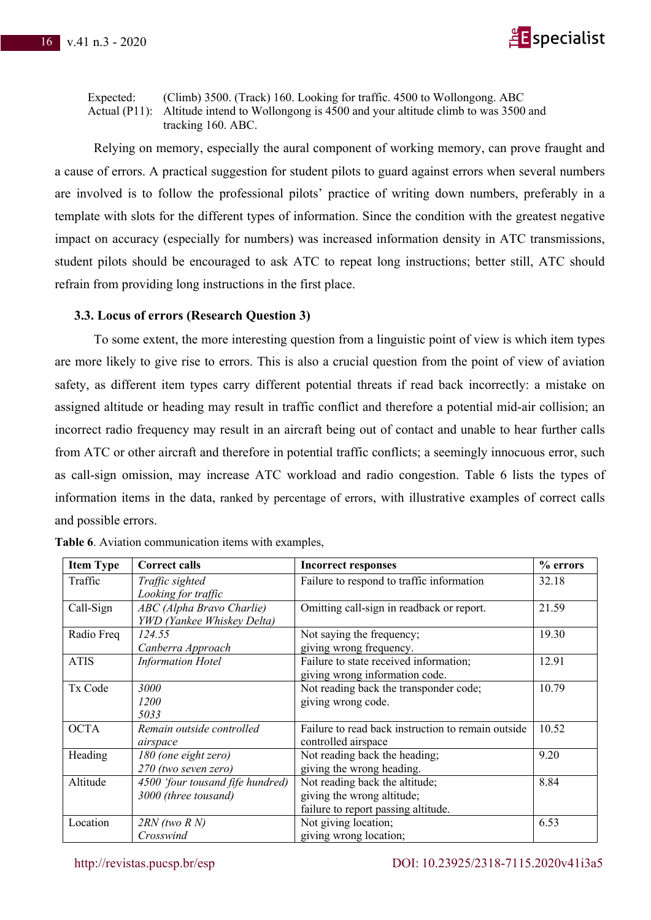

Expected: (Climb) 3500. (Track) 160. Looking for traffic. 4500 to Wollongong. ABC Actual (P11): Altitude intend to Wollongong is 4500 and your altitude climb to was 3500 and tracking 160. ABC.

Relying on memory, especially the aural component of working memory, can prove fraught and a cause of errors. A practical suggestion for student pilots to guard against errors when several numbers are involved is to follow the professional pilots' practice of writing down numbers, preferably in a template with slots for the different types of information. Since the condition with the greatest negative impact on accuracy (especially for numbers) was increased information density in ATC transmissions, student pilots should be encouraged to ask ATC to repeat long instructions; better still, ATC should refrain from providing long instructions in the first place.

#### **3.3. Locus of errors (Research Question 3)**

To some extent, the more interesting question from a linguistic point of view is which item types are more likely to give rise to errors. This is also a crucial question from the point of view of aviation safety, as different item types carry different potential threats if read back incorrectly: a mistake on assigned altitude or heading may result in traffic conflict and therefore a potential mid-air collision; an incorrect radio frequency may result in an aircraft being out of contact and unable to hear further calls from ATC or other aircraft and therefore in potential traffic conflicts; a seemingly innocuous error, such as call-sign omission, may increase ATC workload and radio congestion. Table 6 lists the types of information items in the data, ranked by percentage of errors, with illustrative examples of correct calls and possible errors.

| <b>Item Type</b> | <b>Correct calls</b>             | <b>Incorrect responses</b>                         | % errors |
|------------------|----------------------------------|----------------------------------------------------|----------|
| Traffic          | Traffic sighted                  | Failure to respond to traffic information          | 32.18    |
|                  | Looking for traffic              |                                                    |          |
| Call-Sign        | ABC (Alpha Bravo Charlie)        | Omitting call-sign in readback or report.          | 21.59    |
|                  | YWD (Yankee Whiskey Delta)       |                                                    |          |
| Radio Freq       | 124.55                           | Not saying the frequency;                          | 19.30    |
|                  | Canberra Approach                | giving wrong frequency.                            |          |
| <b>ATIS</b>      | <b>Information Hotel</b>         | Failure to state received information;             | 12.91    |
|                  |                                  | giving wrong information code.                     |          |
| Tx Code          | <b>3000</b>                      | Not reading back the transponder code;             | 10.79    |
|                  | <i>1200</i>                      | giving wrong code.                                 |          |
|                  | 5033                             |                                                    |          |
| <b>OCTA</b>      | Remain outside controlled        | Failure to read back instruction to remain outside | 10.52    |
|                  | airspace                         | controlled airspace                                |          |
| Heading          | 180 (one eight zero)             | Not reading back the heading;                      | 9.20     |
|                  | 270 (two seven zero)             | giving the wrong heading.                          |          |
| Altitude         | 4500 'four tousand fife hundred) | Not reading back the altitude;                     | 8.84     |
|                  | 3000 (three tousand)             | giving the wrong altitude;                         |          |
|                  |                                  | failure to report passing altitude.                |          |
| Location         | $2RN$ (two $R$ N)                | Not giving location;                               | 6.53     |
|                  | Crosswind                        | giving wrong location;                             |          |

|  |  | Table 6. Aviation communication items with examples, |  |  |
|--|--|------------------------------------------------------|--|--|
|--|--|------------------------------------------------------|--|--|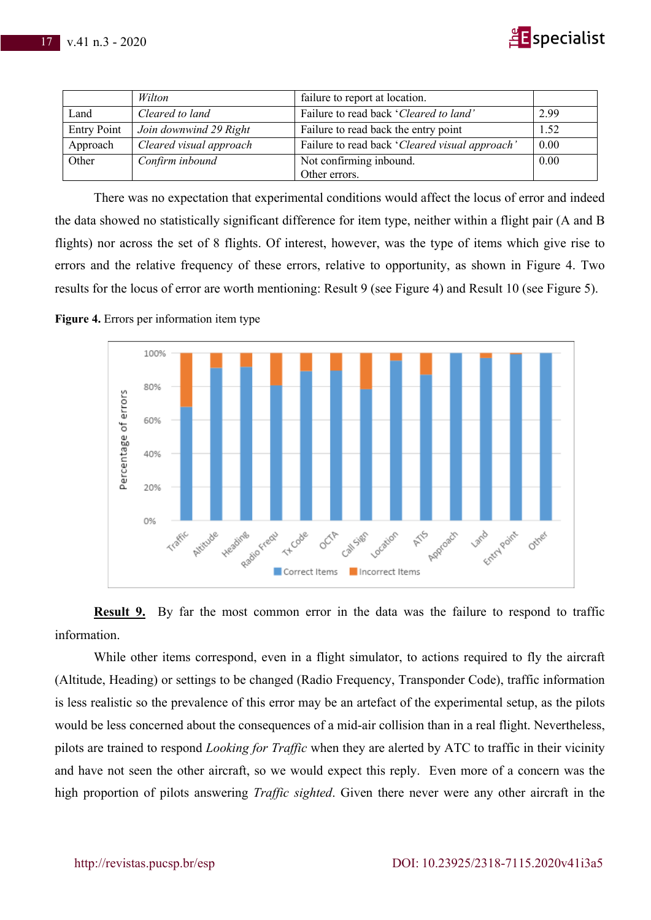

|                    | Wilton                  | failure to report at location.                 |      |
|--------------------|-------------------------|------------------------------------------------|------|
| Land               | Cleared to land         | Failure to read back 'Cleared to land'         | 2.99 |
| <b>Entry Point</b> | Join downwind 29 Right  | Failure to read back the entry point           | 1.52 |
| Approach           | Cleared visual approach | Failure to read back 'Cleared visual approach' | 0.00 |
| Other              | Confirm inbound         | Not confirming inbound.                        | 0.00 |
|                    |                         | Other errors.                                  |      |

There was no expectation that experimental conditions would affect the locus of error and indeed the data showed no statistically significant difference for item type, neither within a flight pair (A and B flights) nor across the set of 8 flights. Of interest, however, was the type of items which give rise to errors and the relative frequency of these errors, relative to opportunity, as shown in Figure 4. Two results for the locus of error are worth mentioning: Result 9 (see Figure 4) and Result 10 (see Figure 5).





**Result 9.** By far the most common error in the data was the failure to respond to traffic information.

While other items correspond, even in a flight simulator, to actions required to fly the aircraft (Altitude, Heading) or settings to be changed (Radio Frequency, Transponder Code), traffic information is less realistic so the prevalence of this error may be an artefact of the experimental setup, as the pilots would be less concerned about the consequences of a mid-air collision than in a real flight. Nevertheless, pilots are trained to respond *Looking for Traffic* when they are alerted by ATC to traffic in their vicinity and have not seen the other aircraft, so we would expect this reply. Even more of a concern was the high proportion of pilots answering *Traffic sighted*. Given there never were any other aircraft in the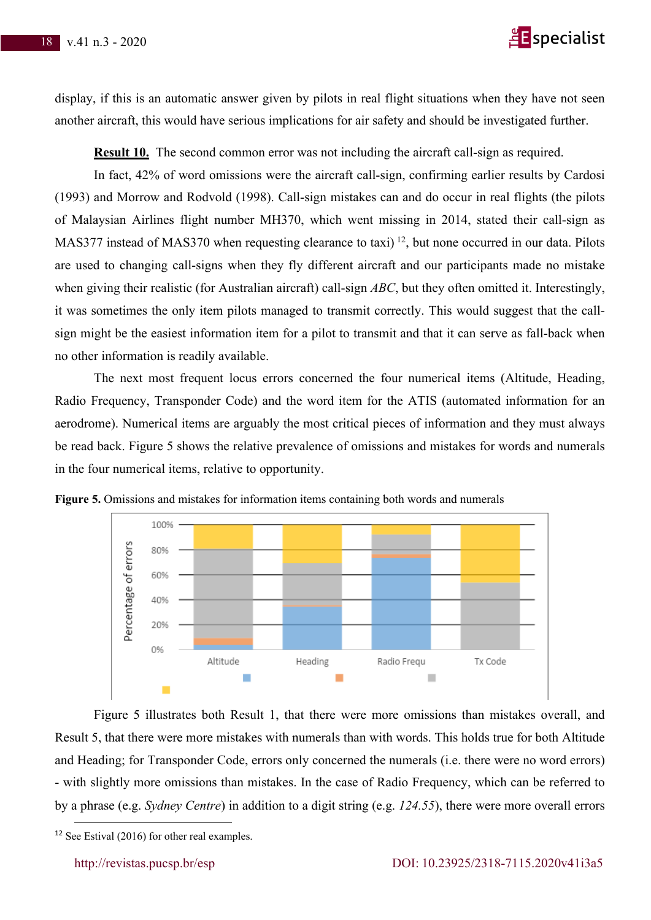

display, if this is an automatic answer given by pilots in real flight situations when they have not seen another aircraft, this would have serious implications for air safety and should be investigated further.

**Result 10.** The second common error was not including the aircraft call-sign as required.

In fact, 42% of word omissions were the aircraft call-sign, confirming earlier results by Cardosi (1993) and Morrow and Rodvold (1998). Call-sign mistakes can and do occur in real flights (the pilots of Malaysian Airlines flight number MH370, which went missing in 2014, stated their call-sign as MAS377 instead of MAS370 when requesting clearance to taxi)<sup>12</sup>, but none occurred in our data. Pilots are used to changing call-signs when they fly different aircraft and our participants made no mistake when giving their realistic (for Australian aircraft) call-sign *ABC*, but they often omitted it. Interestingly, it was sometimes the only item pilots managed to transmit correctly. This would suggest that the callsign might be the easiest information item for a pilot to transmit and that it can serve as fall-back when no other information is readily available.

The next most frequent locus errors concerned the four numerical items (Altitude, Heading, Radio Frequency, Transponder Code) and the word item for the ATIS (automated information for an aerodrome). Numerical items are arguably the most critical pieces of information and they must always be read back. Figure 5 shows the relative prevalence of omissions and mistakes for words and numerals in the four numerical items, relative to opportunity.



**Figure 5.** Omissions and mistakes for information items containing both words and numerals

Figure 5 illustrates both Result 1, that there were more omissions than mistakes overall, and Result 5, that there were more mistakes with numerals than with words. This holds true for both Altitude and Heading; for Transponder Code, errors only concerned the numerals (i.e. there were no word errors) - with slightly more omissions than mistakes. In the case of Radio Frequency, which can be referred to by a phrase (e.g. *Sydney Centre*) in addition to a digit string (e.g. *124.55*), there were more overall errors

<sup>&</sup>lt;sup>12</sup> See Estival (2016) for other real examples.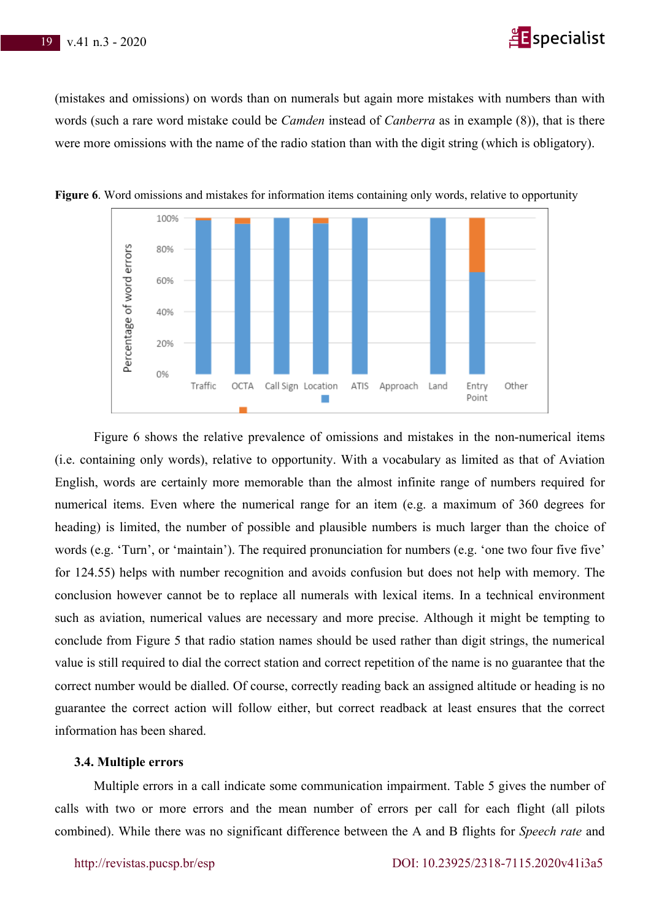# **E** specialist

(mistakes and omissions) on words than on numerals but again more mistakes with numbers than with words (such a rare word mistake could be *Camden* instead of *Canberra* as in example (8)), that is there were more omissions with the name of the radio station than with the digit string (which is obligatory).



**Figure 6**. Word omissions and mistakes for information items containing only words, relative to opportunity

Figure 6 shows the relative prevalence of omissions and mistakes in the non-numerical items (i.e. containing only words), relative to opportunity. With a vocabulary as limited as that of Aviation English, words are certainly more memorable than the almost infinite range of numbers required for numerical items. Even where the numerical range for an item (e.g. a maximum of 360 degrees for heading) is limited, the number of possible and plausible numbers is much larger than the choice of words (e.g. 'Turn', or 'maintain'). The required pronunciation for numbers (e.g. 'one two four five five' for 124.55) helps with number recognition and avoids confusion but does not help with memory. The conclusion however cannot be to replace all numerals with lexical items. In a technical environment such as aviation, numerical values are necessary and more precise. Although it might be tempting to conclude from Figure 5 that radio station names should be used rather than digit strings, the numerical value is still required to dial the correct station and correct repetition of the name is no guarantee that the correct number would be dialled. Of course, correctly reading back an assigned altitude or heading is no guarantee the correct action will follow either, but correct readback at least ensures that the correct information has been shared.

#### **3.4. Multiple errors**

Multiple errors in a call indicate some communication impairment. Table 5 gives the number of calls with two or more errors and the mean number of errors per call for each flight (all pilots combined). While there was no significant difference between the A and B flights for *Speech rate* and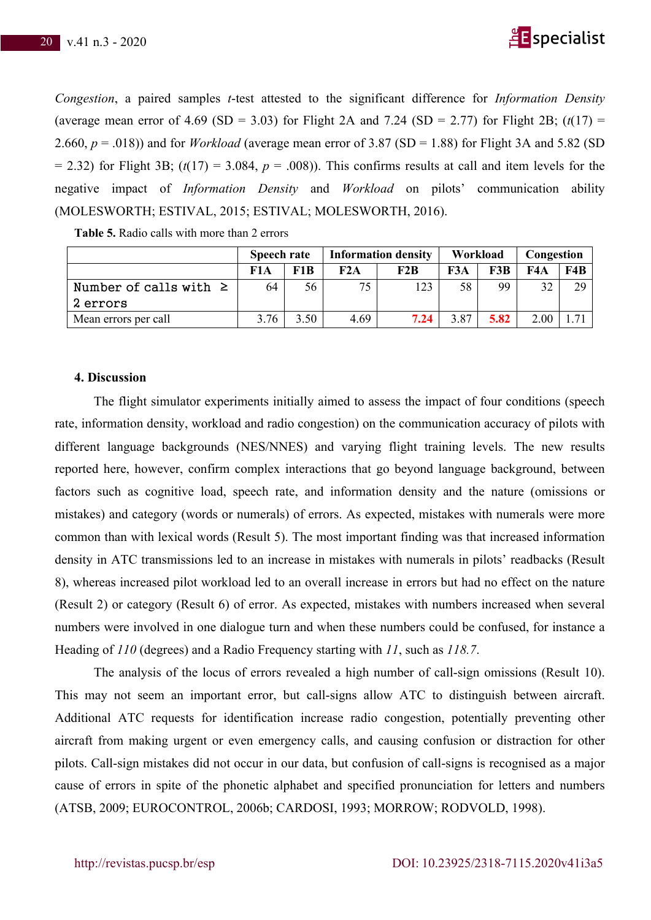

*Congestion*, a paired samples *t*-test attested to the significant difference for *Information Density* (average mean error of 4.69 (SD = 3.03) for Flight 2A and 7.24 (SD = 2.77) for Flight 2B;  $(t(17)$  = 2.660,  $p = .018$ )) and for *Workload* (average mean error of 3.87 (SD = 1.88) for Flight 3A and 5.82 (SD  $= 2.32$ ) for Flight 3B; ( $t(17) = 3.084$ ,  $p = .008$ )). This confirms results at call and item levels for the negative impact of *Information Density* and *Workload* on pilots' communication ability (MOLESWORTH; ESTIVAL, 2015; ESTIVAL; MOLESWORTH, 2016).

|                            | <b>Speech rate</b> |      |      | <b>Information density</b> | Workload |      | Congestion |     |
|----------------------------|--------------------|------|------|----------------------------|----------|------|------------|-----|
|                            | F1A                | F1B  |      | F2B                        | F3A      | F3B  | F4A        | FAB |
| Number of calls with $\ge$ | 64                 | 56   | 75   | 123                        | 58       | 99   | 32         | 29  |
| 2 errors                   |                    |      |      |                            |          |      |            |     |
| Mean errors per call       | 3.76               | 3.50 | 4.69 | 7.24                       | 3.87     | 5.82 | 2.00       |     |

**Table 5.** Radio calls with more than 2 errors

#### **4. Discussion**

The flight simulator experiments initially aimed to assess the impact of four conditions (speech rate, information density, workload and radio congestion) on the communication accuracy of pilots with different language backgrounds (NES/NNES) and varying flight training levels. The new results reported here, however, confirm complex interactions that go beyond language background, between factors such as cognitive load, speech rate, and information density and the nature (omissions or mistakes) and category (words or numerals) of errors. As expected, mistakes with numerals were more common than with lexical words (Result 5). The most important finding was that increased information density in ATC transmissions led to an increase in mistakes with numerals in pilots' readbacks (Result 8), whereas increased pilot workload led to an overall increase in errors but had no effect on the nature (Result 2) or category (Result 6) of error. As expected, mistakes with numbers increased when several numbers were involved in one dialogue turn and when these numbers could be confused, for instance a Heading of *110* (degrees) and a Radio Frequency starting with *11*, such as *118.7*.

The analysis of the locus of errors revealed a high number of call-sign omissions (Result 10). This may not seem an important error, but call-signs allow ATC to distinguish between aircraft. Additional ATC requests for identification increase radio congestion, potentially preventing other aircraft from making urgent or even emergency calls, and causing confusion or distraction for other pilots. Call-sign mistakes did not occur in our data, but confusion of call-signs is recognised as a major cause of errors in spite of the phonetic alphabet and specified pronunciation for letters and numbers (ATSB, 2009; EUROCONTROL, 2006b; CARDOSI, 1993; MORROW; RODVOLD, 1998).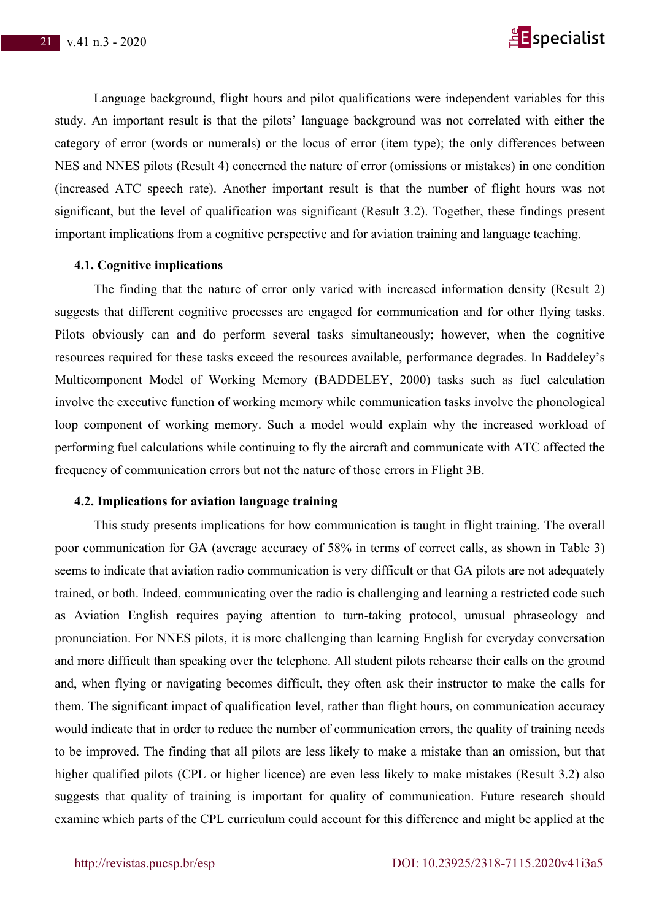

Language background, flight hours and pilot qualifications were independent variables for this study. An important result is that the pilots' language background was not correlated with either the category of error (words or numerals) or the locus of error (item type); the only differences between NES and NNES pilots (Result 4) concerned the nature of error (omissions or mistakes) in one condition (increased ATC speech rate). Another important result is that the number of flight hours was not significant, but the level of qualification was significant (Result 3.2). Together, these findings present important implications from a cognitive perspective and for aviation training and language teaching.

## **4.1. Cognitive implications**

The finding that the nature of error only varied with increased information density (Result 2) suggests that different cognitive processes are engaged for communication and for other flying tasks. Pilots obviously can and do perform several tasks simultaneously; however, when the cognitive resources required for these tasks exceed the resources available, performance degrades. In Baddeley's Multicomponent Model of Working Memory (BADDELEY, 2000) tasks such as fuel calculation involve the executive function of working memory while communication tasks involve the phonological loop component of working memory. Such a model would explain why the increased workload of performing fuel calculations while continuing to fly the aircraft and communicate with ATC affected the frequency of communication errors but not the nature of those errors in Flight 3B.

## **4.2. Implications for aviation language training**

This study presents implications for how communication is taught in flight training. The overall poor communication for GA (average accuracy of 58% in terms of correct calls, as shown in Table 3) seems to indicate that aviation radio communication is very difficult or that GA pilots are not adequately trained, or both. Indeed, communicating over the radio is challenging and learning a restricted code such as Aviation English requires paying attention to turn-taking protocol, unusual phraseology and pronunciation. For NNES pilots, it is more challenging than learning English for everyday conversation and more difficult than speaking over the telephone. All student pilots rehearse their calls on the ground and, when flying or navigating becomes difficult, they often ask their instructor to make the calls for them. The significant impact of qualification level, rather than flight hours, on communication accuracy would indicate that in order to reduce the number of communication errors, the quality of training needs to be improved. The finding that all pilots are less likely to make a mistake than an omission, but that higher qualified pilots (CPL or higher licence) are even less likely to make mistakes (Result 3.2) also suggests that quality of training is important for quality of communication. Future research should examine which parts of the CPL curriculum could account for this difference and might be applied at the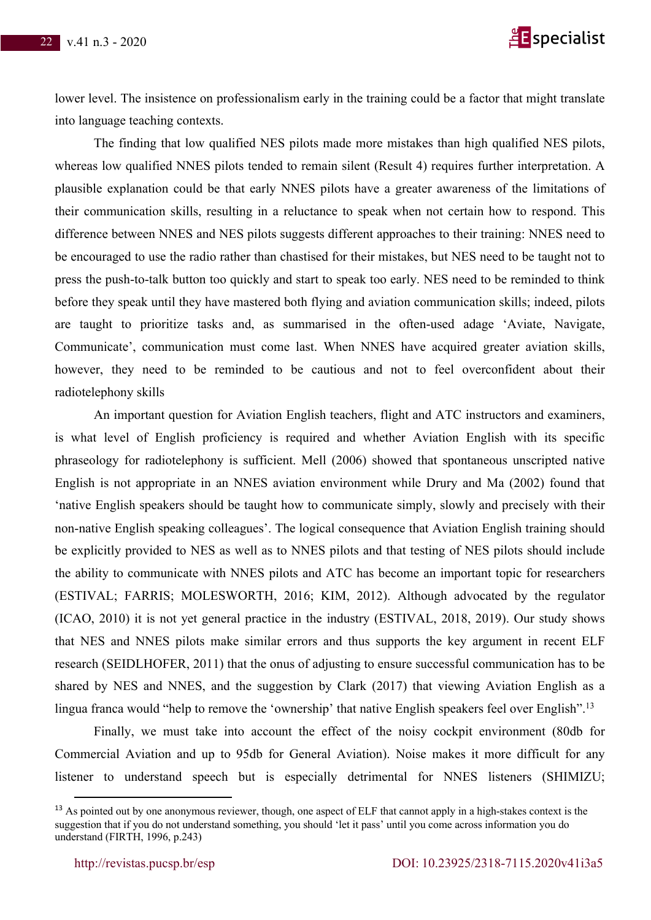

lower level. The insistence on professionalism early in the training could be a factor that might translate into language teaching contexts.

The finding that low qualified NES pilots made more mistakes than high qualified NES pilots, whereas low qualified NNES pilots tended to remain silent (Result 4) requires further interpretation. A plausible explanation could be that early NNES pilots have a greater awareness of the limitations of their communication skills, resulting in a reluctance to speak when not certain how to respond. This difference between NNES and NES pilots suggests different approaches to their training: NNES need to be encouraged to use the radio rather than chastised for their mistakes, but NES need to be taught not to press the push-to-talk button too quickly and start to speak too early. NES need to be reminded to think before they speak until they have mastered both flying and aviation communication skills; indeed, pilots are taught to prioritize tasks and, as summarised in the often-used adage 'Aviate, Navigate, Communicate', communication must come last. When NNES have acquired greater aviation skills, however, they need to be reminded to be cautious and not to feel overconfident about their radiotelephony skills

An important question for Aviation English teachers, flight and ATC instructors and examiners, is what level of English proficiency is required and whether Aviation English with its specific phraseology for radiotelephony is sufficient. Mell (2006) showed that spontaneous unscripted native English is not appropriate in an NNES aviation environment while Drury and Ma (2002) found that 'native English speakers should be taught how to communicate simply, slowly and precisely with their non-native English speaking colleagues'. The logical consequence that Aviation English training should be explicitly provided to NES as well as to NNES pilots and that testing of NES pilots should include the ability to communicate with NNES pilots and ATC has become an important topic for researchers (ESTIVAL; FARRIS; MOLESWORTH, 2016; KIM, 2012). Although advocated by the regulator (ICAO, 2010) it is not yet general practice in the industry (ESTIVAL, 2018, 2019). Our study shows that NES and NNES pilots make similar errors and thus supports the key argument in recent ELF research (SEIDLHOFER, 2011) that the onus of adjusting to ensure successful communication has to be shared by NES and NNES, and the suggestion by Clark (2017) that viewing Aviation English as a lingua franca would "help to remove the 'ownership' that native English speakers feel over English".<sup>13</sup>

Finally, we must take into account the effect of the noisy cockpit environment (80db for Commercial Aviation and up to 95db for General Aviation). Noise makes it more difficult for any listener to understand speech but is especially detrimental for NNES listeners (SHIMIZU;

<sup>&</sup>lt;sup>13</sup> As pointed out by one anonymous reviewer, though, one aspect of ELF that cannot apply in a high-stakes context is the suggestion that if you do not understand something, you should 'let it pass' until you come across information you do understand (FIRTH, 1996, p.243)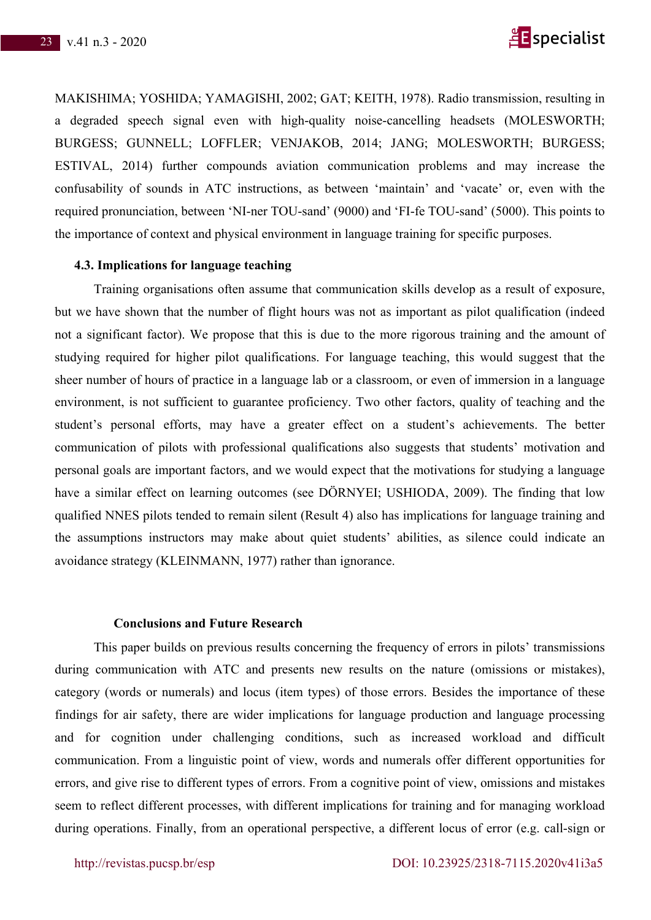

MAKISHIMA; YOSHIDA; YAMAGISHI, 2002; GAT; KEITH, 1978). Radio transmission, resulting in a degraded speech signal even with high-quality noise-cancelling headsets (MOLESWORTH; BURGESS; GUNNELL; LOFFLER; VENJAKOB, 2014; JANG; MOLESWORTH; BURGESS; ESTIVAL, 2014) further compounds aviation communication problems and may increase the confusability of sounds in ATC instructions, as between 'maintain' and 'vacate' or, even with the required pronunciation, between 'NI-ner TOU-sand' (9000) and 'FI-fe TOU-sand' (5000). This points to the importance of context and physical environment in language training for specific purposes.

# **4.3. Implications for language teaching**

Training organisations often assume that communication skills develop as a result of exposure, but we have shown that the number of flight hours was not as important as pilot qualification (indeed not a significant factor). We propose that this is due to the more rigorous training and the amount of studying required for higher pilot qualifications. For language teaching, this would suggest that the sheer number of hours of practice in a language lab or a classroom, or even of immersion in a language environment, is not sufficient to guarantee proficiency. Two other factors, quality of teaching and the student's personal efforts, may have a greater effect on a student's achievements. The better communication of pilots with professional qualifications also suggests that students' motivation and personal goals are important factors, and we would expect that the motivations for studying a language have a similar effect on learning outcomes (see DÖRNYEI; USHIODA, 2009). The finding that low qualified NNES pilots tended to remain silent (Result 4) also has implications for language training and the assumptions instructors may make about quiet students' abilities, as silence could indicate an avoidance strategy (KLEINMANN, 1977) rather than ignorance.

#### **Conclusions and Future Research**

This paper builds on previous results concerning the frequency of errors in pilots' transmissions during communication with ATC and presents new results on the nature (omissions or mistakes), category (words or numerals) and locus (item types) of those errors. Besides the importance of these findings for air safety, there are wider implications for language production and language processing and for cognition under challenging conditions, such as increased workload and difficult communication. From a linguistic point of view, words and numerals offer different opportunities for errors, and give rise to different types of errors. From a cognitive point of view, omissions and mistakes seem to reflect different processes, with different implications for training and for managing workload during operations. Finally, from an operational perspective, a different locus of error (e.g. call-sign or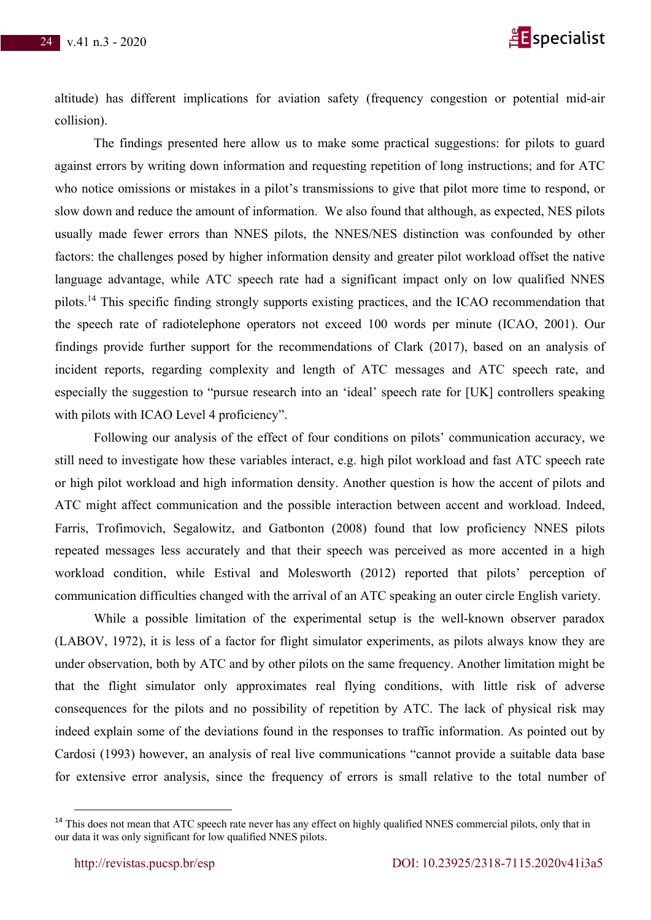

altitude) has different implications for aviation safety (frequency congestion or potential mid-air collision).

The findings presented here allow us to make some practical suggestions: for pilots to guard against errors by writing down information and requesting repetition of long instructions; and for ATC who notice omissions or mistakes in a pilot's transmissions to give that pilot more time to respond, or slow down and reduce the amount of information. We also found that although, as expected, NES pilots usually made fewer errors than NNES pilots, the NNES/NES distinction was confounded by other factors: the challenges posed by higher information density and greater pilot workload offset the native language advantage, while ATC speech rate had a significant impact only on low qualified NNES pilots.14 This specific finding strongly supports existing practices, and the ICAO recommendation that the speech rate of radiotelephone operators not exceed 100 words per minute (ICAO, 2001). Our findings provide further support for the recommendations of Clark (2017), based on an analysis of incident reports, regarding complexity and length of ATC messages and ATC speech rate, and especially the suggestion to "pursue research into an 'ideal' speech rate for [UK] controllers speaking with pilots with ICAO Level 4 proficiency".

Following our analysis of the effect of four conditions on pilots' communication accuracy, we still need to investigate how these variables interact, e.g. high pilot workload and fast ATC speech rate or high pilot workload and high information density. Another question is how the accent of pilots and ATC might affect communication and the possible interaction between accent and workload. Indeed, Farris, Trofimovich, Segalowitz, and Gatbonton (2008) found that low proficiency NNES pilots repeated messages less accurately and that their speech was perceived as more accented in a high workload condition, while Estival and Molesworth (2012) reported that pilots' perception of communication difficulties changed with the arrival of an ATC speaking an outer circle English variety.

While a possible limitation of the experimental setup is the well-known observer paradox (LABOV, 1972), it is less of a factor for flight simulator experiments, as pilots always know they are under observation, both by ATC and by other pilots on the same frequency. Another limitation might be that the flight simulator only approximates real flying conditions, with little risk of adverse consequences for the pilots and no possibility of repetition by ATC. The lack of physical risk may indeed explain some of the deviations found in the responses to traffic information. As pointed out by Cardosi (1993) however, an analysis of real live communications "cannot provide a suitable data base for extensive error analysis, since the frequency of errors is small relative to the total number of

<sup>&</sup>lt;sup>14</sup> This does not mean that ATC speech rate never has any effect on highly qualified NNES commercial pilots, only that in our data it was only significant for low qualified NNES pilots.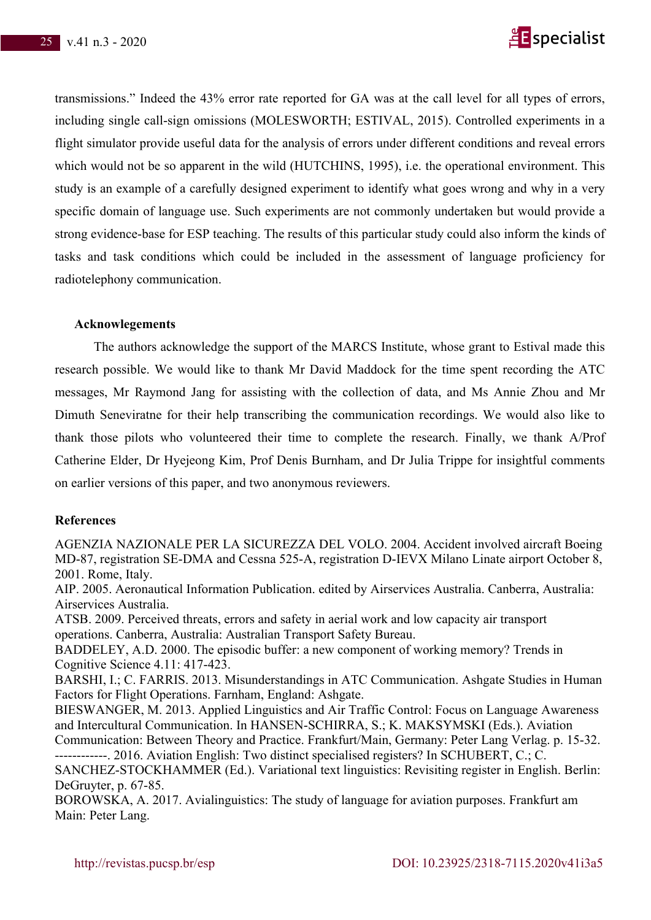

transmissions." Indeed the 43% error rate reported for GA was at the call level for all types of errors, including single call-sign omissions (MOLESWORTH; ESTIVAL, 2015). Controlled experiments in a flight simulator provide useful data for the analysis of errors under different conditions and reveal errors which would not be so apparent in the wild (HUTCHINS, 1995), i.e. the operational environment. This study is an example of a carefully designed experiment to identify what goes wrong and why in a very specific domain of language use. Such experiments are not commonly undertaken but would provide a strong evidence-base for ESP teaching. The results of this particular study could also inform the kinds of tasks and task conditions which could be included in the assessment of language proficiency for radiotelephony communication.

# **Acknowlegements**

The authors acknowledge the support of the MARCS Institute, whose grant to Estival made this research possible. We would like to thank Mr David Maddock for the time spent recording the ATC messages, Mr Raymond Jang for assisting with the collection of data, and Ms Annie Zhou and Mr Dimuth Seneviratne for their help transcribing the communication recordings. We would also like to thank those pilots who volunteered their time to complete the research. Finally, we thank A/Prof Catherine Elder, Dr Hyejeong Kim, Prof Denis Burnham, and Dr Julia Trippe for insightful comments on earlier versions of this paper, and two anonymous reviewers.

## **References**

AGENZIA NAZIONALE PER LA SICUREZZA DEL VOLO. 2004. Accident involved aircraft Boeing MD-87, registration SE-DMA and Cessna 525-A, registration D-IEVX Milano Linate airport October 8, 2001. Rome, Italy.

AIP. 2005. Aeronautical Information Publication. edited by Airservices Australia. Canberra, Australia: Airservices Australia.

ATSB. 2009. Perceived threats, errors and safety in aerial work and low capacity air transport operations. Canberra, Australia: Australian Transport Safety Bureau.

BADDELEY, A.D. 2000. The episodic buffer: a new component of working memory? Trends in Cognitive Science 4.11: 417-423.

BARSHI, I.; C. FARRIS. 2013. Misunderstandings in ATC Communication. Ashgate Studies in Human Factors for Flight Operations. Farnham, England: Ashgate.

BIESWANGER, M. 2013. Applied Linguistics and Air Traffic Control: Focus on Language Awareness and Intercultural Communication. In HANSEN-SCHIRRA, S.; K. MAKSYMSKI (Eds.). Aviation

Communication: Between Theory and Practice. Frankfurt/Main, Germany: Peter Lang Verlag. p. 15-32. ------------. 2016. Aviation English: Two distinct specialised registers? In SCHUBERT, C.; C.

SANCHEZ-STOCKHAMMER (Ed.). Variational text linguistics: Revisiting register in English. Berlin: DeGruyter, p. 67-85.

BOROWSKA, A. 2017. Avialinguistics: The study of language for aviation purposes. Frankfurt am Main: Peter Lang.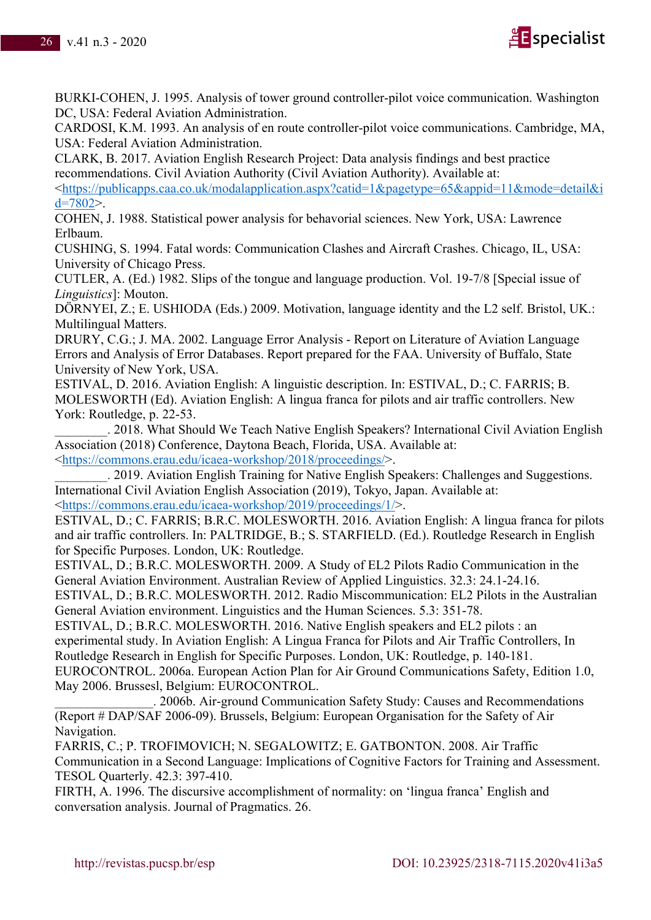

BURKI-COHEN, J. 1995. Analysis of tower ground controller-pilot voice communication. Washington DC, USA: Federal Aviation Administration.

CARDOSI, K.M. 1993. An analysis of en route controller-pilot voice communications. Cambridge, MA, USA: Federal Aviation Administration.

CLARK, B. 2017. Aviation English Research Project: Data analysis findings and best practice recommendations. Civil Aviation Authority (Civil Aviation Authority). Available at:

<https://publicapps.caa.co.uk/modalapplication.aspx?catid=1&pagetype=65&appid=11&mode=detail&i  $d=7802$ .

COHEN, J. 1988. Statistical power analysis for behavorial sciences. New York, USA: Lawrence Erlbaum.

CUSHING, S. 1994. Fatal words: Communication Clashes and Aircraft Crashes. Chicago, IL, USA: University of Chicago Press.

CUTLER, A. (Ed.) 1982. Slips of the tongue and language production. Vol. 19-7/8 [Special issue of *Linguistics*]: Mouton.

DÖRNYEI, Z.; E. USHIODA (Eds.) 2009. Motivation, language identity and the L2 self. Bristol, UK.: Multilingual Matters.

DRURY, C.G.; J. MA. 2002. Language Error Analysis - Report on Literature of Aviation Language Errors and Analysis of Error Databases. Report prepared for the FAA. University of Buffalo, State University of New York, USA.

ESTIVAL, D. 2016. Aviation English: A linguistic description. In: ESTIVAL, D.; C. FARRIS; B. MOLESWORTH (Ed). Aviation English: A lingua franca for pilots and air traffic controllers. New York: Routledge, p. 22-53.

\_\_\_\_\_\_\_\_. 2018. What Should We Teach Native English Speakers? International Civil Aviation English Association (2018) Conference, Daytona Beach, Florida, USA. Available at: <https://commons.erau.edu/icaea-workshop/2018/proceedings/>.

. 2019. Aviation English Training for Native English Speakers: Challenges and Suggestions. International Civil Aviation English Association (2019), Tokyo, Japan. Available at: <https://commons.erau.edu/icaea-workshop/2019/proceedings/1/>.

ESTIVAL, D.; C. FARRIS; B.R.C. MOLESWORTH. 2016. Aviation English: A lingua franca for pilots and air traffic controllers. In: PALTRIDGE, B.; S. STARFIELD. (Ed.). Routledge Research in English for Specific Purposes. London, UK: Routledge.

ESTIVAL, D.; B.R.C. MOLESWORTH. 2009. A Study of EL2 Pilots Radio Communication in the General Aviation Environment. Australian Review of Applied Linguistics. 32.3: 24.1-24.16.

ESTIVAL, D.; B.R.C. MOLESWORTH. 2012. Radio Miscommunication: EL2 Pilots in the Australian General Aviation environment. Linguistics and the Human Sciences. 5.3: 351-78.

ESTIVAL, D.; B.R.C. MOLESWORTH. 2016. Native English speakers and EL2 pilots : an experimental study. In Aviation English: A Lingua Franca for Pilots and Air Traffic Controllers, In Routledge Research in English for Specific Purposes. London, UK: Routledge, p. 140-181. EUROCONTROL. 2006a. European Action Plan for Air Ground Communications Safety, Edition 1.0, May 2006. Brussesl, Belgium: EUROCONTROL.

\_\_\_\_\_\_\_\_\_\_\_\_\_\_\_. 2006b. Air-ground Communication Safety Study: Causes and Recommendations (Report # DAP/SAF 2006-09). Brussels, Belgium: European Organisation for the Safety of Air Navigation.

FARRIS, C.; P. TROFIMOVICH; N. SEGALOWITZ; E. GATBONTON. 2008. Air Traffic Communication in a Second Language: Implications of Cognitive Factors for Training and Assessment. TESOL Quarterly. 42.3: 397-410.

FIRTH, A. 1996. The discursive accomplishment of normality: on 'lingua franca' English and conversation analysis. Journal of Pragmatics. 26.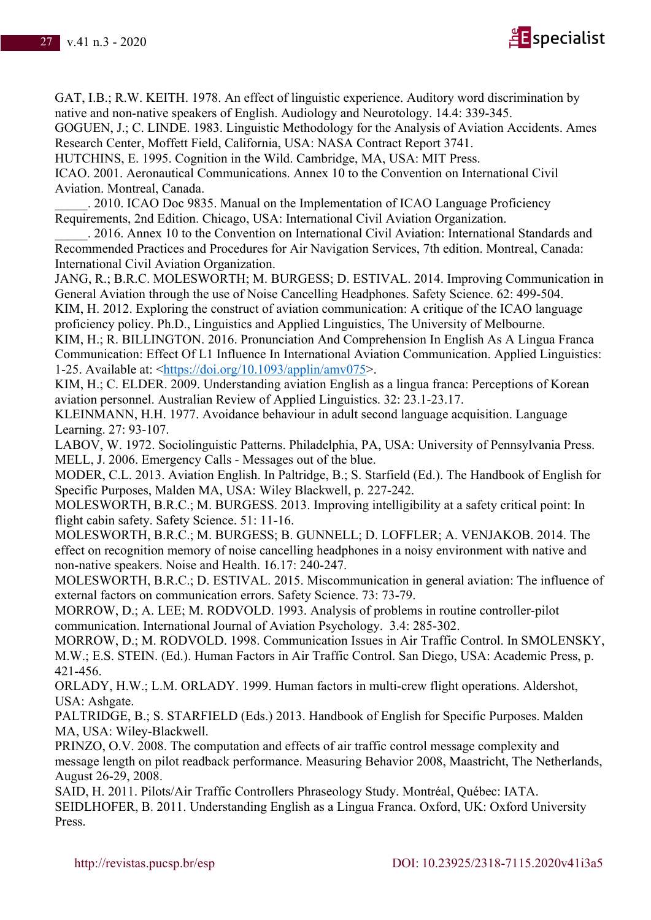

GAT, I.B.; R.W. KEITH. 1978. An effect of linguistic experience. Auditory word discrimination by native and non-native speakers of English. Audiology and Neurotology. 14.4: 339-345.

GOGUEN, J.; C. LINDE. 1983. Linguistic Methodology for the Analysis of Aviation Accidents. Ames Research Center, Moffett Field, California, USA: NASA Contract Report 3741.

HUTCHINS, E. 1995. Cognition in the Wild. Cambridge, MA, USA: MIT Press.

ICAO. 2001. Aeronautical Communications. Annex 10 to the Convention on International Civil Aviation. Montreal, Canada.

\_\_\_\_\_. 2010. ICAO Doc 9835. Manual on the Implementation of ICAO Language Proficiency Requirements, 2nd Edition. Chicago, USA: International Civil Aviation Organization.

. 2016. Annex 10 to the Convention on International Civil Aviation: International Standards and Recommended Practices and Procedures for Air Navigation Services, 7th edition. Montreal, Canada: International Civil Aviation Organization.

JANG, R.; B.R.C. MOLESWORTH; M. BURGESS; D. ESTIVAL. 2014. Improving Communication in General Aviation through the use of Noise Cancelling Headphones. Safety Science. 62: 499-504. KIM, H. 2012. Exploring the construct of aviation communication: A critique of the ICAO language proficiency policy. Ph.D., Linguistics and Applied Linguistics, The University of Melbourne.

KIM, H.; R. BILLINGTON. 2016. Pronunciation And Comprehension In English As A Lingua Franca Communication: Effect Of L1 Influence In International Aviation Communication. Applied Linguistics: 1-25. Available at: <https://doi.org/10.1093/applin/amv075>.

KIM, H.; C. ELDER. 2009. Understanding aviation English as a lingua franca: Perceptions of Korean aviation personnel. Australian Review of Applied Linguistics. 32: 23.1-23.17.

KLEINMANN, H.H. 1977. Avoidance behaviour in adult second language acquisition. Language Learning. 27: 93-107.

LABOV, W. 1972. Sociolinguistic Patterns. Philadelphia, PA, USA: University of Pennsylvania Press. MELL, J. 2006. Emergency Calls - Messages out of the blue.

MODER, C.L. 2013. Aviation English. In Paltridge, B.; S. Starfield (Ed.). The Handbook of English for Specific Purposes, Malden MA, USA: Wiley Blackwell, p. 227-242.

MOLESWORTH, B.R.C.; M. BURGESS. 2013. Improving intelligibility at a safety critical point: In flight cabin safety. Safety Science. 51: 11-16.

MOLESWORTH, B.R.C.; M. BURGESS; B. GUNNELL; D. LOFFLER; A. VENJAKOB. 2014. The effect on recognition memory of noise cancelling headphones in a noisy environment with native and non-native speakers. Noise and Health. 16.17: 240-247.

MOLESWORTH, B.R.C.; D. ESTIVAL. 2015. Miscommunication in general aviation: The influence of external factors on communication errors. Safety Science. 73: 73-79.

MORROW, D.; A. LEE; M. RODVOLD. 1993. Analysis of problems in routine controller-pilot communication. International Journal of Aviation Psychology. 3.4: 285-302.

MORROW, D.; M. RODVOLD. 1998. Communication Issues in Air Traffic Control. In SMOLENSKY, M.W.; E.S. STEIN. (Ed.). Human Factors in Air Traffic Control. San Diego, USA: Academic Press, p. 421-456.

ORLADY, H.W.; L.M. ORLADY. 1999. Human factors in multi-crew flight operations. Aldershot, USA: Ashgate.

PALTRIDGE, B.; S. STARFIELD (Eds.) 2013. Handbook of English for Specific Purposes. Malden MA, USA: Wiley-Blackwell.

PRINZO, O.V. 2008. The computation and effects of air traffic control message complexity and message length on pilot readback performance. Measuring Behavior 2008, Maastricht, The Netherlands, August 26-29, 2008.

SAID, H. 2011. Pilots/Air Traffic Controllers Phraseology Study. Montréal, Québec: IATA. SEIDLHOFER, B. 2011. Understanding English as a Lingua Franca. Oxford, UK: Oxford University Press.